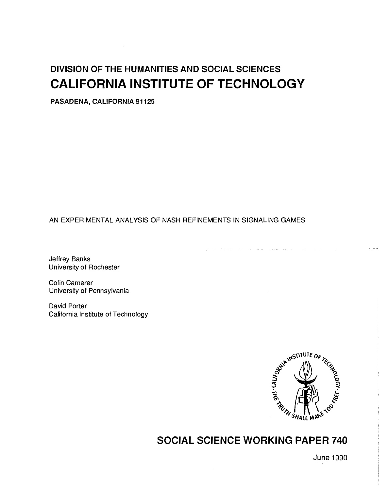# DIVISION OF THE HUMANITIES AND SOCIAL SCIENCES CALIFORNIA INSTITUTE OF TECHNOLOGY

PASADENA, CALIFORNIA 91125

# AN EXPERIMENTAL ANALYSIS OF NASH REFINEMENTS IN SIGNALING GAMES

Jeffrey Banks University of Rochester

Colin Camerer University of Pennsylvania

David Porter California Institute of Technology



# SOCIAL SCIENCE WORKING PAPER 740

June 1990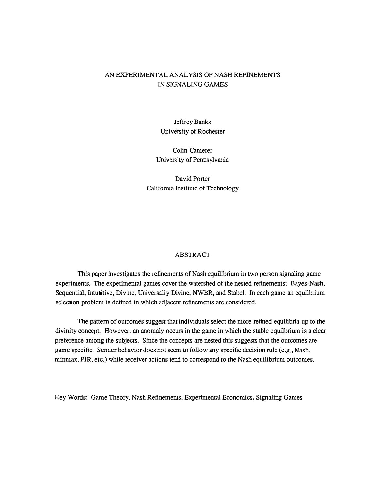## AN EXPERIMENTAL ANALYSIS OF NASH REFINEMENTS IN SIGNALING GAMES

Jeffrey Banks University of Rochester

Colin Camerer University of Pennsylvania

David Porter California Institute of Technology

#### ABSTRACT

This paper investigates the refinements of Nash equilibrium in two person signaling game experiments. The experimental games cover the watershed of the nested refinements: Bayes-Nash, Sequential, Intutitive, Divine, Universally Divine, NWBR, and Stabel. In each game an equilbrium selection problem is defined in which adjacent refinements are considered.

The pattern of outcomes suggest that individuals select the more refined equilibria up to the divinity concept. However, an anomaly occurs in the game in which the stable equilbrium is a clear preference among the subjects. Since the concepts are nested this suggests that the outcomes are game specific. Sender behavior does not seem to follow any specific decision rule (e.g., Nash, minmax, PIR, etc.) while receiver actions tend to correspond to the Nash equilibrium outcomes.

Key Words: Game Theory, Nash Refinements, Experimental Economics, Signaling Games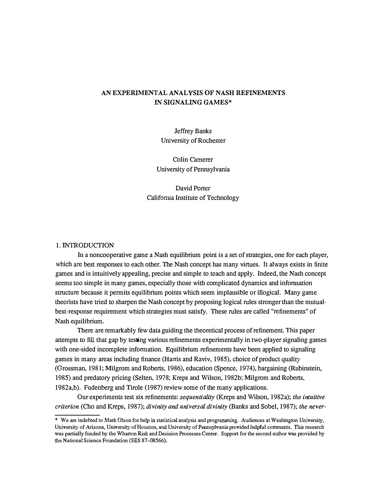## AN EXPERIMENTAL ANALYSIS OF NASH REFINEMENTS IN SIGNALING GAMES\*

Jeffrey Banks University of Rochester

Colin Camerer University of Pennsylvania

David Porter California Institute of Technology

#### 1. INIRODUCTION

In a noncooperative game a Nash equilibrium point is a set of strategies, one for each player, which are best responses to each other. The Nash concept has many virtues. It always exists in finite games and is intuitively appealing, precise and simple to teach and apply. Indeed, the Nash concept seems too simple in many games, especially those with complicated dynamics and information structure because it permits equilibrium points which seem implausible or illogical. Many game theorists have tried to sharpen the Nash concept by proposing logical rules stronger than the mutualbest-response requirement which strategies must satisfy. These rules are called "refinements" of Nash equilibrium.

There are remarkably few data guiding the theoretical process of refinement. This paper attempts to fill that gap by testing various refinements experimentally in two-player signaling games with one-sided incomplete information. Equilibrium refinements have been applied to signaling games in many areas including finance (Harris and Raviv, 1985), choice of product quality (Grossman, 1981; Milgrom and Roberts, 1986), education (Spence, 1974), bargaining (Rubinstein, 1985) and predatory pricing (Selten, 1978; Kreps and Wilson, 1982b; Milgrom and Roberts, 1982a,b). Fudenberg and Tirole (1987) review some of the many applications.

Our experiments test six refinements: sequentiality (Kreps and Wilson, 1982a); the intuitive criterion (Cho and Kreps, 1987); divinity and universal divinity (Banks and Sobel, 1987); the never-

<sup>\*</sup> We are indebted to Mark Olson for help in statistical analysis and programming. Audiences at Washington University, University of Arizona, University of Houston, and University of Pennsylvania provided helpful comments. This research was partially funded by the Wharton Risk and Decision Processes Center. Support for the second author was provided by the National Science Foundation (SES 87-08566).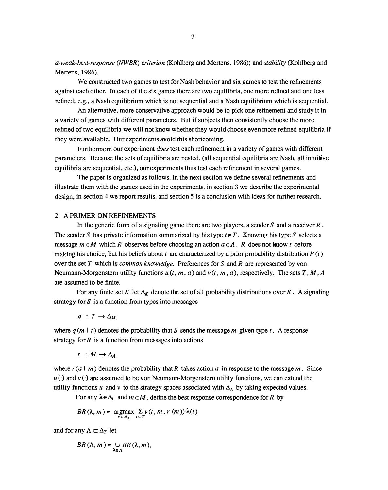a-weak-best-response (NWBR) criterion (Kohlberg and Mertens, 1986); and stability (Kohlberg and Mertens, 1986).

We constructed two games to test for Nash behavior and six games to test the refinements against each other. In each of the six games there are two equilibria, one more refined and one less refined; e.g., a Nash equilibrium which is not sequential and a Nash equilibrium which is sequential.

An alternative, more conservative approach would be to pick one refinement and study it in a variety of games with different parameters. But if subjects then consistently choose the more refined of two equilibria we will not know whether they would choose even more refined equilibria if they were available. Our experiments avoid this shortcoming.

Furthermore our experiment does test each refinement in a variety of games with different parameters. Because the sets of equilibria are nested, (all sequential equilibria are Nash, all intuitive equilibria are sequential, etc.), our experiments thus test each refinement in several games.

The paper is organized as follows. In the next section we define several refinements and illustrate them with the games used in the experiments, in section 3 we describe the experimental design, in section 4 we report results, and section 5 is a conclusion with ideas for further research.

#### 2. A PRIMER ON REFINEMENTS

In the generic form of a signaling game there are two players, a sender S and a receiver  $R$ . The sender S has private information summarized by his type  $t \in T$ . Knowing his type S selects a message  $m \in M$  which R observes before choosing an action  $a \in A$ . R does not know t before making his choice, but his beliefs about t are characterized by a prior probability distribution  $P(t)$ over the set T which is *common knowledge*. Preferences for S and R are represented by von Neumann-Morgenstern utility functions  $u(t, m, a)$  and  $v(t, m, a)$ , respectively. The sets T, M, A are assumed to be finite.

For any finite set K let  $\Delta_K$  denote the set of all probability distributions over K. A signaling strategy for  $S$  is a function from types into messages

$$
q\;:\;T\to\Delta_{M,}
$$

where  $q(m | t)$  denotes the probability that S sends the message m given type t. A response strategy for  $R$  is a function from messages into actions

$$
r\;:\;M\to \Delta_A
$$

where  $r(a \mid m)$  denotes the probability that R takes action a in response to the message m. Since  $u(\cdot)$  and  $v(\cdot)$  are assumed to be von Neumann-Morgenstern utility functions, we can extend the utility functions u and v to the strategy spaces associated with  $\Delta_A$  by taking expected values.

For any  $\lambda \in \Delta_T$  and  $m \in M$ , define the best response correspondence for R by

$$
BR(\lambda,m)=\underset{r\in\Delta_{\text{A}}}{\operatorname{argmax}}\sum_{t\in T}\nu(t,m,r\ (m))\cdot\lambda(t)
$$

and for any  $\Lambda \subset \Delta_{\mathcal{T}}$  let

$$
BR(\Lambda,m)=\bigcup_{\lambda\in\Lambda}BR(\lambda,m).
$$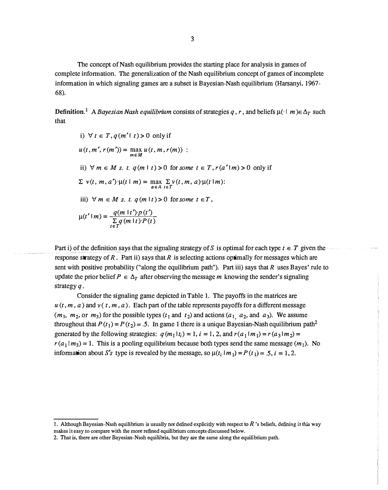The concept of Nash equilibrium provides the starting place for analysis in games of complete information. The generalization of the Nash equilibrium concept of games of incomplete information in which signaling games are a subset is Bayesian-Nash equilibrium (Harsanyi, 1967- 68).

Definition.<sup>1</sup> A Bayesian Nash equilibrium consists of strategies q, r, and beliefs  $\mu(\cdot | m) \in \Delta_T$  such that

i) 
$$
\forall t \in T, q(m'|t) > 0
$$
 only if  
\n $u(t, m', r(m')) = \max_{m \in M} u(t, m, r(m))$ :  
\nii)  $\forall m \in M$  s. t.  $q(m | t) > 0$  for some  $t \in T, r(a'|m) > 0$  only if  
\n $\sum v(t, m, a') \cdot \mu(t | m) = \max_{a \in A} \sum_{i \in T} v(t, m, a) \cdot \mu(t | m)$ :  
\niii)  $\forall m \in M$  s. t.  $q(m | t) > 0$  for some  $t \in T$ ,  
\n $\mu(t'|m) = \frac{q(m | t') \cdot p(t')}{\sum_{t \in T} q(m | t) \cdot P(t)}$ 

Part i) of the definition says that the signaling strategy of S is optimal for each type  $t \in T$  given the response strategy of R. Part ii) says that R is selecting actions optimally for messages which are sent with positive probability ("along the equilibrium path"). Part iii) says that  $R$  uses Bayes' rule to update the prior belief  $P \in \Delta_T$  after observing the message m knowing the sender's signaling strategy q.

Consider the signaling game depicted in Table 1. The payoffs in the matrices are  $u(t, m, a)$  and  $v(t, m, a)$ . Each part of the table represents payoffs for a different message  $(m_1, m_2, \text{or } m_3)$  for the possible types  $(t_1 \text{ and } t_2)$  and actions  $(a_1, a_2, \text{and } a_3)$ . We assume throughout that  $P(t_1) = P(t_2) = .5$ . In game 1 there is a unique Bayesian-Nash equilibrium path<sup>2</sup> generated by the following strategies:  $q(m_1|t_i) = 1$ ,  $i = 1, 2$ , and  $r(a_1|m_1) = r(a_3|m_2) =$  $r(a_1|m_3) = 1$ . This is a pooling equilibrium because both types send the same message  $(m_1)$ . No information about S's type is revealed by the message, so  $\mu(t_i | m_1) = P(t_1) = .5$ ,  $i = 1, 2$ .

<sup>1.</sup> Although Bayesian-Nash equilibrium is usually not defined explicitly with respect to  $R$  's beliefs, defining it this way makes it easy to compare with the more refined equilibrium concepts discussed below.

<sup>2.</sup> That is, there are other Bayesian-Nash equilibria, but they are the same along the equilibrium path.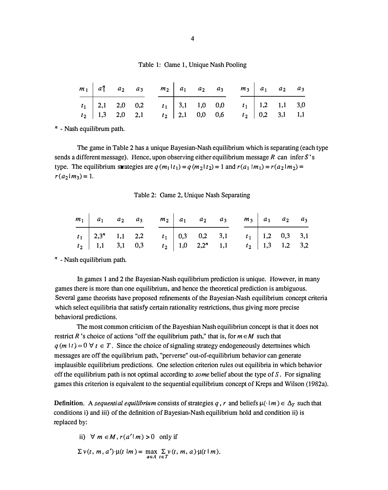Table 1: Game 1, Unique Nash Pooling

|  |  | $m_1$ $a_1^n$ $a_2$ $a_3$ $m_2$ $a_1$ $a_2$ $a_3$ $m_3$ $a_1$ $a_2$ $a_3$                                                                                                              |  |  |  |  |
|--|--|----------------------------------------------------------------------------------------------------------------------------------------------------------------------------------------|--|--|--|--|
|  |  | $\begin{array}{c cccccc}\nt_1 & 2,1 & 2,0 & 0,2 & t_1 & 3,1 & 1,0 & 0,0 & t_1 & 1,2 & 1,1 & 3,0 \\ t_2 & 1,3 & 2,0 & 2,1 & t_2 & 2,1 & 0,0 & 0,6 & t_2 & 0,2 & 3,1 & 1,1\n\end{array}$ |  |  |  |  |
|  |  |                                                                                                                                                                                        |  |  |  |  |

 $n -$  Nash equilibrum path.

The game in Table 2 has a unique Bayesian-Nash equilibrium which is separating (each type sends a different message). Hence, upon observing either equilibrium message R can infer S's type. The equilibrium strategies are  $q(m_1|t_1) = q(m_2|t_2) = 1$  and  $r(a_1|m_1) = r(a_2|m_2) = 1$  $r(a_2|m_3) = 1.$ 

Table 2: Game 2, Unique Nash Separating

|  |  |  |  | $m_1$ $a_1$ $a_2$ $a_3$ $m_2$ $a_1$ $a_2$ $a_3$ $m_3$ $a_1$ $a_2$ $a_3$                                                                                                                     |  |  |
|--|--|--|--|---------------------------------------------------------------------------------------------------------------------------------------------------------------------------------------------|--|--|
|  |  |  |  |                                                                                                                                                                                             |  |  |
|  |  |  |  | $\begin{array}{c ccccccccc} t_1 & 2.3^n & 1.1 & 2.2 & t_1 & 0.3 & 0.2 & 3.1 & t_1 & 1.2 & 0.3 & 3.1 \\ t_2 & 1.1 & 3.1 & 0.3 & t_2 & 1.0 & 2.2^n & 1.1 & t_2 & 1.3 & 1.2 & 3.2 \end{array}$ |  |  |

 $n -$  Nash equilibrium path.

In games 1 and 2 the Bayesian-Nash equilibrium prediction is unique. However, in many games there is more than one equilibrium, and hence the theoretical prediction is ambiguous. Several game theorists have proposed refinements of the Bayesian-Nash equilibrium concept criteria which select equilibria that satisfy certain rationality restrictions, thus giving more precise behavioral predictions.

The most common criticism of the Bayeshian Nash equilibriun concept is that it does not restrict R 's choice of actions "off the equilibrium path," that is, for  $m \in M$  such that  $q(m | t) = 0 \forall t \in T$ . Since the choice of signaling strategy endogeneously determines which messages are off the equilibrium path, "perverse" out-of-equilibrium behavior can generate implausible equilibrium predictions. One selection criterion rules out equilibria in which behavior off the equilibrium path is not optimal according to *some* belief about the type of  $S$ . For signaling games this criterion is equivalent to the sequential equilibrium concept of Kreps and Wilson (1982a).

Definition. A sequential equilibrium consists of strategies q, r and beliefs  $\mu(\cdot | m) \in \Delta_T$  such that conditions i) and iii) of the definition of Bayesian-Nash equilibrium hold and condition ii) is replaced by:

ii)  $\forall m \in M$ ,  $r(a'|m) > 0$  only if

$$
\Sigma \nu(t, m, a') \cdot \mu(t \mid m) = \max_{a \in A} \sum_{t \in T} \nu(t, m, a) \cdot \mu(t \mid m).
$$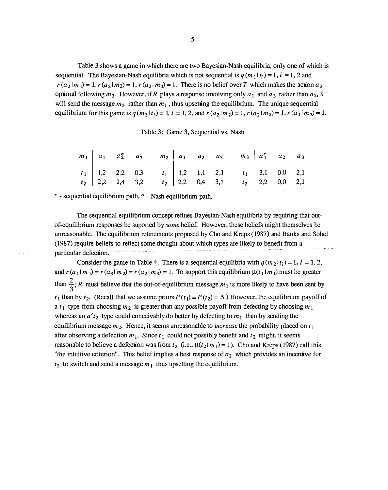Table 3 shows a game in which there are two Bayesian-Nash equilibria, only one of which is sequential. The Bayesian-Nash equilibria which is not sequential is  $q(m_1|t_i) = 1$ ,  $i = 1, 2$  and  $r(a_2|m_1) = 1$ ,  $r(a_2|m_2) = 1$ ,  $r(a_2|m_3) = 1$ . There is no belief over T which makes the action  $a_2$ optimal following  $m_3$ . However, if R plays a response involving only  $a_1$  and  $a_3$  rather than  $a_2$ , S will send the message  $m_3$  rather than  $m_1$ , thus upsetting the equilibrium. The unique sequential equilibrium for this game is  $q(m_3|t_i)=1$ ,  $i = 1, 2$ , and  $r(a_2|m_2)=1$ ,  $r(a_2|m_2)=1$ ,  $r(a_1|m_3)=1$ .

|  |  | Table 3: Game 3, Sequential vs. Nash |  |
|--|--|--------------------------------------|--|
|--|--|--------------------------------------|--|

|  |  |  |  | $m_1$   $a_1$   $a_2$   $a_3$   $a_1$   $a_2$   $a_3$   $a_1$   $a_2$   $a_3$   $a_3$   $a_2$   $a_3$                                                                                   |  |  |
|--|--|--|--|-----------------------------------------------------------------------------------------------------------------------------------------------------------------------------------------|--|--|
|  |  |  |  | $\begin{array}{c ccccccccc} t_1 & 1,2 & 2,2 & 0,3 & t_1 & 1,2 & 1,1 & 2,1 & t_1 & 3,1 & 0,0 & 2,1 \\ t_2 & 2,2 & 1,4 & 3,2 & t_2 & 2,2 & 0,4 & 3,1 & t_2 & 2,2 & 0,0 & 2,1 \end{array}$ |  |  |
|  |  |  |  |                                                                                                                                                                                         |  |  |

 $s$  - sequential equilibrium path,  $n$  - Nash equilibrium path.

The sequential equilibrium concept refines Bayesian-Nash equilibria by requiring that outof-equilibrium responses be suported by some belief. However, these beliefs might themselves be unreasonable. The equilibrium refinements proposed by Cho and Kreps (1987) and Banks and Sobel (1 987) require beliefs to reflect some thought about which types are likely to benefit from a particular defection.

Consider the game in Table 4. There is a sequential equilibria with  $q(m_2 | t_i) = 1$ ,  $i = 1, 2$ , and  $r(a_1 | m_1) = r(a_3 | m_2) = r(a_2 | m_3) = 1$ . To support this equilibrium  $\mu(t_1 | m_1)$  must be greater than  $\frac{2}{3}$ ; R must believe that the out-of-equilibrium message  $m_1$  is more likely to have been sent by  $t_1$  than by  $t_2$ . (Recall that we assume priors  $P(t_1) = P(t_2) = 5$ .) However, the equilibrium payoff of a  $t_1$  type from choosing  $m_2$  is greater than any possible payoff from defecting by choosing  $m_1$ whereas an  $a' t_2$  type could conceivably do better by defecting to  $m_1$  than by sending the equilibrium message  $m_2$ . Hence, it seems unreasonable to *increase* the probability placed on  $t_1$ after observing a defection  $m_1$ . Since  $t_1$  could not possibly benefit and  $t_2$  might, it seems reasonable to believe a defection was from  $t_2$  (i.e.,  $\mu(t_2|m_1) = 1$ ). Cho and Kreps (1987) call this "the intuitive criterion". This belief implies a best response of  $a_2$  which provides an incentive for  $t_2$  to switch and send a message  $m_1$  thus upsetting the equilibrium.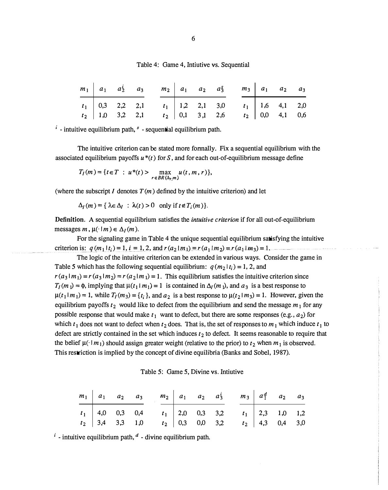|  |  |  |  | Table 4: Game 4, Intiutive vs. Sequential |
|--|--|--|--|-------------------------------------------|
|--|--|--|--|-------------------------------------------|

|  |                   | $m_1$   $a_1$ $a_2^i$ $a_3$ $m_2$   $a_1$ $a_2$ $a_3^s$ $m_3$   $a_1$ $a_2$ $a_3$                                                                                                       |  |  |  |  |
|--|-------------------|-----------------------------------------------------------------------------------------------------------------------------------------------------------------------------------------|--|--|--|--|
|  |                   | $\begin{array}{c ccccccccc} t_1 & 0,3 & 2,2 & 2,1 & t_1 & 1,2 & 2,1 & 3,0 & t_1 & 1,6 & 4,1 & 2,0 \\ t_2 & 1,0 & 3,2 & 2,1 & t_2 & 0,1 & 3,1 & 2,6 & t_2 & 0,0 & 4,1 & 0,6 \end{array}$ |  |  |  |  |
|  | $t_2$ 1,0 3,2 2,1 |                                                                                                                                                                                         |  |  |  |  |

 $i$  - intuitive equilibrium path,  $s$  - sequential equilibrium path.

The intuitive criterion can be stated more fonnally. Fix a sequential equilibrium with the associated equilibrium payoffs  $u^*(t)$  for S, and for each out-of-equilibrium message define

$$
T_I(m) = \{t \in T : u^*(t) > \max_{r \in BR(\Delta_{r,m})} u(t,m,r)\},\
$$

(where the subscript I denotes  $T(m)$  defined by the intuitive criterion) and let

 $\Delta_I(m) = {\lambda \in \Delta_I : \lambda(t) > 0 \text{ only if } t \notin T_i(m)}.$ 

Definition. A sequential equilibrium satisfies the intuitive criterion if for all out-of-equilibrium messages m,  $\mu(\cdot | m) \in \Delta_I(m)$ .

For the signaling game in Table 4 the unique sequential equilibrium satisfying the intuitive criterion is:  $q(m_1|t_i) = 1$ ,  $i = 1, 2$ , and  $r(a_2|m_1) = r(a_1|m_2) = r(a_1|m_3) = 1$ .

The logic of the intuitive criterion can be extended in various ways. Consider the game in Table 5 which has the following sequential equilibrium:  $q(m_2 | t_i) = 1, 2$ , and  $r(a_3|m_1) = r(a_3|m_2) = r(a_2|m_1) = 1$ . This equilibrium satisfies the intuitive criterion since  $T_1(m_1) = \phi$ , implying that  $\mu(t_1 | m_1) = 1$  is contained in  $\Delta_l(m_1)$ , and  $a_3$  is a best response to  $\mu(t_1|m_1) = 1$ , while  $T_1(m_3) = \{t_i\}$ , and  $a_2$  is a best response to  $\mu(t_2|m_3) = 1$ . However, given the equilibrium payoffs  $t_2$  would like to defect from the equilibrium and send the message  $m_1$  for any possible response that would make  $t_1$  want to defect, but there are some responses (e.g.,  $a_2$ ) for which  $t_1$  does not want to defect when  $t_2$  does. That is, the set of responses to  $m_1$  which induce  $t_1$  to defect are strictly contained in the set which induces  $t_2$  to defect. It seems reasonable to require that the belief  $\mu(\cdot | m_1)$  should assign greater weight (relative to the prior) to  $t_2$  when  $m_1$  is observed. This restriction is implied by the concept of divine equilibria (Banks and Sobel, 1987).

|  |  |  |  |  | Table 5: Game 5, Divine vs. Intiutive |
|--|--|--|--|--|---------------------------------------|
|--|--|--|--|--|---------------------------------------|

|  |  | $m_1$ $a_1$ $a_2$ $a_3$ $m_2$ $a_1$ $a_2$ $a_3$ $m_3$ $a_1^2$ $a_2$ $a_3$                                                                                                                 |  |  |  |  |
|--|--|-------------------------------------------------------------------------------------------------------------------------------------------------------------------------------------------|--|--|--|--|
|  |  | $\begin{array}{c ccccccccc}\nt_1 & 4,0 & 0,3 & 0,4 & t_1 & 2,0 & 0,3 & 3,2 & t_1 & 2,3 & 1,0 & 1,2 \\ t_2 & 3,4 & 3,3 & 1,0 & t_2 & 0,3 & 0,0 & 3,2 & t_2 & 4,3 & 0,4 & 3,0\n\end{array}$ |  |  |  |  |
|  |  |                                                                                                                                                                                           |  |  |  |  |

 $i$ - intuitive equilibrium path,  $d$ - divine equilibrium path.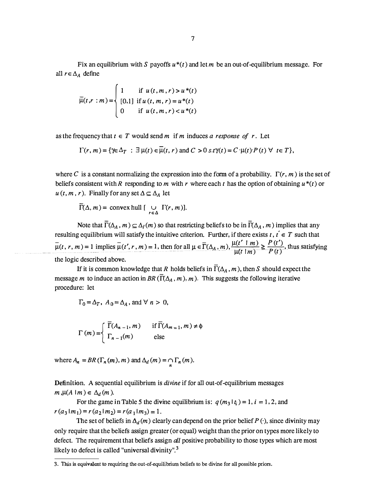Fix an equilibrium with S payoffs  $u^*(t)$  and let m be an out-of-equilibrium message. For all  $r \in \Delta_A$  define

$$
\overline{\mu}(t,r:m) = \begin{cases}\n1 & \text{if } u(t,m,r) > u^*(t) \\
[0,1] & \text{if } u(t,m,r) = u^*(t) \\
0 & \text{if } u(t,m,r) < u^*(t)\n\end{cases}
$$

as the frequency that  $t \in T$  would send m if m induces a response of r. Let

$$
\Gamma(r, m) = \{ \gamma \in \Delta_T : \exists \mu(t) \in \mu(t, r) \text{ and } C > 0 \text{ s.t } \gamma(t) = C \cdot \mu(t) \cdot P(t) \ \forall \ t \in T \},
$$

where C is a constant normalizing the expression into the form of a probability.  $\Gamma(r, m)$  is the set of beliefs consistent with R responding to m with r where each t has the option of obtaining  $u^*(t)$  or  $u(t, m, r)$ . Finally for any set  $\Delta \subseteq \Delta_A$  let

 $\Gamma(\Delta, m) = \text{convex hull} \left[ \bigcup_{r \in \Delta} \Gamma(r, m) \right].$ 

Note that  $\overline{\Gamma}(\Delta_A, m) \subseteq \Delta_I(m)$  so that restricting beliefs to be in  $\overline{\Gamma}(\Delta_A, m)$  implies that any resulting equilibrium will satisfy the intuitive criterion. Further, if there exists  $t, t \in T$  such that resulting equilibrium will satisfy the intuitive criterion. Further, if there exists t, t<br>  $\mu(t, r, m) = 1$  implies  $\bar{\mu}(t', r, m) = 1$ , then for all  $\mu \in \bar{\Gamma}(\Delta_A, m), \frac{\mu(t' \mid m)}{\mu(t \mid m)} \ge \frac{P(t')}{P(t)}$  $\frac{\mu(t' \mid m)}{\mu(t \mid m)} \geq \frac{P(t')}{P(t)}$ , thus satisfying the logic described above.

If it is common knowledge that R holds beliefs in  $\Gamma(\Delta_A, m)$ , then S should expect the message m to induce an action in BR ( $\overline{\Gamma}(\Delta_A, m)$ , m). This suggests the following iterative procedure: let

$$
\Gamma_0 = \Delta_T
$$
,  $A_0 = \Delta_A$ , and  $\forall n > 0$ ,

$$
\Gamma(m) = \begin{cases} \overline{\Gamma}(A_{n-1}, m) & \text{if } \overline{\Gamma}(A_{m-1}, m) \neq \emptyset \\ \Gamma_{n-1}(m) & \text{else} \end{cases}
$$

where  $A_n = BR(\Gamma_n(m), m)$  and  $\Delta_d(m) = \bigcap_n \Gamma_n(m)$ .

Definition. A sequential equilibrium is *divine* if for all out-of-equilibrium messages  $m,\mu(A \mid m) \in \Delta_d(m)$ .

For the game in Table 5 the divine equilibrium is:  $q(m_3 | t_i) = 1$ ,  $i = 1, 2$ , and  $r(a_3 | m_1) = r(a_2 | m_2) = r(a_1 | m_3) = 1.$ 

The set of beliefs in  $\Delta_d(m)$  clearly can depend on the prior belief P ( $\cdot$ ), since divinity may only require that the beliefs assign greater (or equal) weight than the prior on types more likely to defect. The requirement that beliefs assign *all* positive probability to those types which are most likely to defect is called "universal divinity".<sup>3</sup>

<sup>3.</sup> This is equivalent to requiring the out-of-equilibrium beliefs to be divine for all possible priors.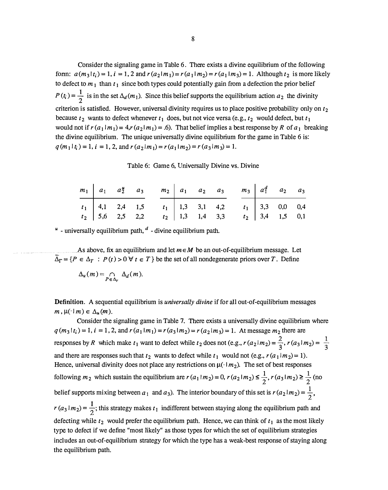Consider the signaling game in Table 6. There exists a divine equilibrium of the following form:  $a(m_3 | t_i) = 1$ ,  $i = 1, 2$  and  $r(a_2 | m_1) = r(a_1 | m_2) = r(a_1 | m_3) = 1$ . Although  $t_2$  is more likely to defect to  $m_1$  than  $t_1$  since both types could potentially gain from a defection the prior belief  $P(t_i) = \frac{1}{2}$  is in the set  $\Delta_d(m_1)$ . Since this belief supports the equilibrium action  $a_2$  the divinity criterion is satisfied. However, universal divinity requires us to place positive probability only on  $t_2$ because  $t_2$  wants to defect whenever  $t_1$  does, but not vice versa (e.g.,  $t_2$  would defect, but  $t_1$ would not if  $r(a_1|m_1) = 4, r(a_2|m_1) = .6$ . That belief implies a best response by R of  $a_1$  breaking the divine equilibrium. The unique universally divine equilibrium for the game in Table 6 is :  $q(m_1|t_i) = 1$ ,  $i = 1, 2$ , and  $r(a_2|m_1) = r(a_1|m_2) = r(a_3|m_3) = 1$ .

Table 6: Game 6, Universally Divine vs. Divine

|  |  |  |  | $m_1$ $a_1$ $a_2^u$ $a_3$ $m_2$ $a_1$ $a_2$ $a_3$ $m_3$ $a_1^d$ $a_2$ $a_3$                                                                                                             |  |  |
|--|--|--|--|-----------------------------------------------------------------------------------------------------------------------------------------------------------------------------------------|--|--|
|  |  |  |  | $\begin{array}{c ccccccccc} t_1 & 4,1 & 2,4 & 1,5 & t_1 & 1,3 & 3,1 & 4,2 & t_1 & 3,3 & 0,0 & 0,4 \\ t_2 & 5,6 & 2,5 & 2,2 & t_2 & 1,3 & 1,4 & 3,3 & t_2 & 3,4 & 1,5 & 0,1 \end{array}$ |  |  |
|  |  |  |  |                                                                                                                                                                                         |  |  |

 $\mu$  - universally equilibrium path,  $\mu$  - divine equilibrium path.

As above, fix an equilibrium and let  $m \in M$  be an out-of-equilibrium message. Let  $\overline{\Delta}_{\Gamma} = \{P \in \Delta_T : P(t) > 0 \,\forall t \in T\}$  be the set of all nondegenerate priors over T. Define

$$
\Delta_u(m) = \bigcap_{P \in \Delta_T} \Delta_d(m).
$$

**Definition.** A sequential equilibrium is *universally divine* if for all out-of-equilibrium messages  $m, \mu(\cdot | m) \in \Delta_u(m)$ .

Consider the signaling game in Table 7. There exists a universally divine equilibrium where  $q(m_3 | t_i) = 1$ ,  $i = 1, 2$ , and  $r(a_1 | m_1) = r(a_3 | m_2) = r(a_2 | m_3) = 1$ . At message  $m_2$  there are responses by R which make  $t_1$  want to defect while  $t_2$  does not (e.g.,  $r(a_2|m_2) = \frac{2}{3}$ ,  $r(a_3|m_2) = \frac{1}{3}$ and there are responses such that  $t_2$  wants to defect while  $t_1$  would not (e.g.,  $r(a_1|m_2) = 1$ ). Hence, universal divinity does not place any restrictions on  $\mu(\cdot | m_2)$ . The set of best responses following  $m_2$  which sustain the equilibrium are  $r(a_1 | m_2) = 0$ ,  $r(a_2 | m_2) \le \frac{1}{2}$ ,  $r(a_3 | m_2) \ge \frac{1}{2}$  (no belief supports mixing between  $a_1$  and  $a_3$ ). The interior boundary of this set is  $r(a_2 | m_2) = \frac{1}{2}$ ,  $r(a_3 | m_2) = \frac{1}{2}$ ; this strategy makes  $t_1$  indifferent between staying along the equilibrium path and defecting while  $t_2$  would prefer the equilibrium path. Hence, we can think of  $t_1$  as the most likely type to defect if we define "most likely" as those types for which the set of equilibrium strategies includes an out-of-equilibrium strategy for which lhe type has a weak-best response of staying along the equilibrium path.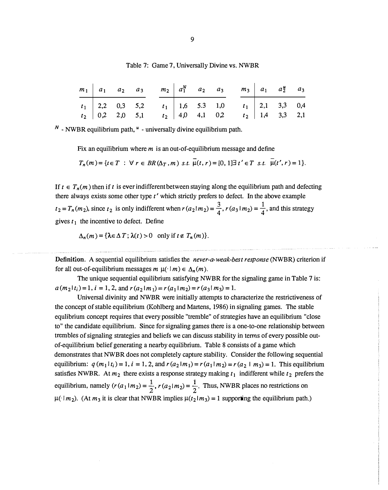|  |  |  |  | $m_1$   $a_1$   $a_2$   $a_3$   $m_2$   $a_1^N$   $a_2$   $a_3$   $a_1$   $a_2^u$   $a_3$   $a_1$   $a_2^u$   $a_3$                                                                     |  |  |
|--|--|--|--|-----------------------------------------------------------------------------------------------------------------------------------------------------------------------------------------|--|--|
|  |  |  |  | $\begin{array}{c ccccccccc} t_1 & 2,2 & 0,3 & 5,2 & t_1 & 1,6 & 5.3 & 1,0 & t_1 & 2,1 & 3,3 & 0,4 \\ t_2 & 0,2 & 2,0 & 5,1 & t_2 & 4,0 & 4,1 & 0,2 & t_2 & 1,4 & 3,3 & 2,1 \end{array}$ |  |  |
|  |  |  |  |                                                                                                                                                                                         |  |  |

Table 7: Game 7, Universally Divine vs. NWBR

 $N$  - NWBR equilibrium path,  $\mu$  - universally divine equilibrium path.

Fix an equilibrium where  $m$  is an out-of-equilibrium message and define

 $T_n(m) = \{t \in T : \forall r \in BR(\Delta_T, m) \text{ s.t. } \overline{\mu}(t, r) = [0, 1] \exists t' \in T \text{ s.t. } \overline{\mu}(t', r) = 1\}.$ 

If  $t \in T_n(m)$  then if t is ever indifferent between staying along the equilibrium path and defecting there always exists some other type  $t'$  which strictly prefers to defect. In the above example  $t_2 = T_n(m_2)$ , since  $t_2$  is only indifferent when  $r(a_2 | m_2) = \frac{3}{4}$ ,  $r(a_3 | m_2) = \frac{1}{4}$ , and this strategy gives  $t_1$  the incentive to defect. Define

$$
\Delta_n(m) = {\lambda \in \Delta T; \lambda(t) > 0 \text{ only if } t \notin T_n(m)}.
$$

Definition. A sequential equilibrium satisfies the *never-a-weak-best response* (NWBR) criterion if for all out-of-equilibrium messages  $m \mu(\cdot | m) \in \Delta_n(m)$ .

The unique sequential equilibrium satisfying NWBR for the signaling game in Table 7 is:  $a(m_2|t_i)=1$ ,  $i = 1, 2$ , and  $r(a_2|m_1) = r(a_1|m_2) = r(a_3|m_3) = 1$ .

Universal divinity and NWBR were initially attempts to characterize the restrictiveness of the concept of stable equilibrium (Kohlberg and Mattens, 1986) in signaling games. The stable equlibrium concept requires that every possible "tremble" of strategies have an equilibrium "close to" the candidate equilibrium. Since for signaling games there is a one-to-one relationship between trembles of signaling strategies and beliefs we can discuss stability in terms of every possible outof-equilibrium belief generating a nearby equilibrium. Table 8 consists of a game which demonstrates that NWBR does not completely capture stability. Consider the following sequential equilibrium:  $q(m_1 | t_i) = 1$ ,  $i = 1, 2$ , and  $r(a_2 | m_1) = r(a_1 | m_2) = r(a_2 | m_3) = 1$ . This equilibrium satisfies NWBR. At  $m_2$  there exists a response strategy making  $t_1$  indifferent while  $t_2$  prefers the equilibrium, namely  $(r(a_1 | m_2) = \frac{1}{2}, r(a_2 | m_2) = \frac{1}{2}$ . Thus, NWBR places no restrictions on  $\mu(\cdot | m_2)$ . (At  $m_3$  it is clear that NWBR implies  $\mu(t_2 | m_3) = 1$  supporting the equilibrium path.)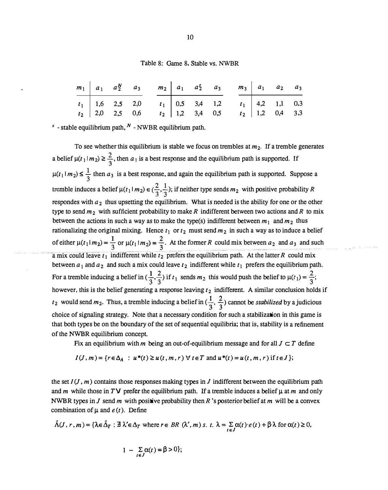#### Table 8: Game 8, Stable vs. NWBR

|  |  |  |  | $m_1$ $a_1$ $a_2^N$ $a_3$ $m_2$ $a_1$ $a_2^S$ $a_3$ $m_3$ $a_1$ $a_2$ $a_3$                                                                                                             |  |  |
|--|--|--|--|-----------------------------------------------------------------------------------------------------------------------------------------------------------------------------------------|--|--|
|  |  |  |  | $\begin{array}{c ccccccccc} t_1 & 1,6 & 2,5 & 2,0 & t_1 & 0,5 & 3,4 & 1,2 & t_1 & 4,2 & 1,1 & 0,3 \\ t_2 & 2,0 & 2,5 & 0,6 & t_2 & 1,2 & 3,4 & 0,5 & t_2 & 1,2 & 0,4 & 3,3 \end{array}$ |  |  |

 $s$  - stable equilibrium path,  $N$  - NWBR equilibrium path.

To see whether this equilibrium is stable we focus on trembles at  $m_2$ . If a tremble generates a belief  $\mu(t_1|m_2) \geq \frac{2}{3}$ , then  $a_1$  is a best response and the equilibrium path is supported. If  $\mu(t_1 | m_2) \leq \frac{1}{3}$  then  $a_3$  is a best response, and again the equilibrium path is supported. Suppose a tremble induces a belief  $\mu(t_1 | m_2) \in (\frac{2}{3}, \frac{1}{3})$ ; if neither type sends  $m_2$  with positive probability R respondes with  $a_2$  thus upsetting the equilibrium. What is needed is the ability for one or the other type to send  $m_2$  with sufficient probability to make R indifferent between two actions and R to mix between the actions in such a way as to make the type(s) indifferent between  $m_1$  and  $m_2$  thus rationalizing the original mixing. Hence  $t_1$  or  $t_2$  must send  $m_2$  in such a way as to induce a belief of either  $\mu(t_1 | m_2) = \frac{1}{3}$  or  $\mu(t_1 | m_2) = \frac{2}{3}$ . At the former R could mix between  $a_2$  and  $a_3$  and such a mix could leave  $t_1$  indifferent while  $t_2$  prefers the equilibrium path. At the latter R could mix between  $a_1$  and  $a_2$  and such a mix could leave  $t_2$  indifferent while  $t_1$  prefers the equilibrium path. For a tremble inducing a belief in  $(\frac{1}{3}, \frac{2}{3})$  if  $t_1$  sends  $m_2$  this would push the belief to  $\mu(t_1) = \frac{2}{3}$ ; however, this is the belief generating a response leaving  $t_2$  indifferent. A similar conclusion holds if  $t_2$  would send  $m_2$ . Thus, a tremble inducing a belief in  $(\frac{1}{3}, \frac{2}{3})$  cannot be *stabilized* by a judicious choice of signaling strategy. Note that a necessary condition for such a stabilization in this game is that both types be on the boundary of the set of sequential equilibria; that is, stability is a refinement of the NWBR equilibrium concept.

Fix an equilibrium with m being an out-of-equilibrium message and for all  $J \subset T$  define

$$
I(J,m) = \{ r \in \Delta_A : u^*(t) \ge u(t,m,r) \; \forall \; t \in T \text{ and } u^*(t) = u(t,m,r) \text{ if } t \in J \};
$$

the set  $I(J, m)$  contains those responses making types in J indifferent between the equilibrium path and m while those in TV prefer the equilibrium path. If a tremble induces a belief  $\mu$  at m and only NWBR types in J send m with positive probability then R's posterior belief at m will be a convex combination of  $\mu$  and  $e(t)$ . Define

$$
\hat{\Lambda}(J,r,m) = \{\lambda \in \hat{\Delta}_T : \exists \lambda' \in \Delta_T \text{ where } r \in BR(\lambda',m) \text{ s. } t. \lambda = \sum_{t \in J} \alpha(t) \cdot e(t) + \beta \cdot \lambda \text{ for } \alpha(t) \ge 0,
$$

$$
1 - \sum_{t \in J} \alpha(t) = \beta > 0 \};
$$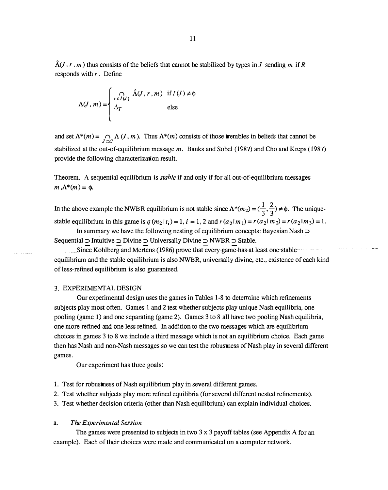$\hat{\Lambda}(J, r, m)$  thus consists of the beliefs that cannot be stabilized by types in J sending m if R responds with  $r$ . Define

$$
\Lambda(J,m) = \begin{cases}\n\bigcap_{r \in I(J)} \hat{\Lambda}(J,r,m) & \text{if } I(J) \neq \emptyset \\
\Delta_T & \text{else}\n\end{cases}
$$

and set  $\Lambda^*(m) = \bigcap_{J \subset \mathcal{L}} \Lambda(J,m)$ . Thus  $\Lambda^*(m)$  consists of those trembles in beliefs that cannot be stabilized at the out-of-equilibrium message  $m$ . Banks and Sobel (1987) and Cho and Kreps (1987) provide the following characterization result.

Theorem. A sequential equilibrium is *stable* if and only if for all out-of-equilibrium messages  $m, \Lambda^*(m) = \phi$ .

In the above example the NWBR equilibrium is not stable since  $\Lambda^*(m_2) = (\frac{1}{3}, \frac{2}{3}) \neq \emptyset$ . The uniquestable equilibrium in this game is  $q(m_2|t_i)=1$ ,  $i = 1, 2$  and  $r(a_2|m_1) = r(a_2|m_2) = r(a_2|m_3) = 1$ .

In summary we have the following nesting of equilibrium concepts: Bayesian Nash  $\supset$ Sequential  $\supset$  Intuitive  $\supset$  Divine  $\supset$  Universally Divine  $\supset$  NWBR  $\supset$  Stable.

Since Kohlberg and Mertens (1986) prove that every game has at least one stable equilibrium and the stable equilibrium is also NWBR, universally divine, etc., existence of each kind of less-refined equilibrium is also guaranteed.

#### 3. EXPERIMENTALDESIGN

Our experimental design uses the games in Tables 1-8 to detennine which refinements subjects play most often. Games 1 and 2 test whether subjects play unique Nash equilibria, one pooling (game 1) and one separating (game 2). Games 3 to 8 all have two pooling Nash equilibria, one more refined and one less refined. In addition to the two messages which are equilibrium choices in games 3 to 8 we include a third message which is not an equilibrium choice. Each game then has Nash and non-Nash messages so we can test the robustness of Nash play in several different games.

Our experiment has three goals:

- 1. Test for robustness of Nash equilibrium play in several different games.
- 2. Test whether subjects play more refined equilibria (for several different nested refinements).
- 3. Test whether decision criteria (other than Nash equilibrium) can explain individual choices.

#### a. The Experimental Session

The games were presented to subjects in two 3 x 3 payoff tables (see Appendix A for an example). Each of their choices were made and communicated on a computer network.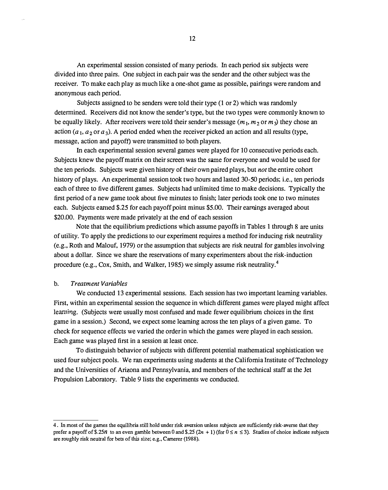An experimental session consisted of many periods. In each period six subjects were divided into three pairs. One subject in each pair was the sender and the other subject was the receiver. To make each play as much like a one-shot game as possible, pairings were random and anonymous each period.

Subjects assigned to be senders were told their type (1 or 2) which was randomly determined. Receivers did not know the sender's type, but the two types were commonly known to be equally likely. After receivers were told their sender's message  $(m_1, m_2, \text{or } m_3)$  they chose an action  $(a_1, a_2$  or  $a_3$ ). A period ended when the receiver picked an action and all results (type, message, action and payoff) were transmitted to both players.

In each experimental session several games were played for 10 consecutive periods each. Subjects knew the payoff matrix on their screen was the same for everyone and would be used for the ten periods. Subjects were given history of their own paired plays, but not the entire cohort history of plays. An experimental session took two hours and lasted 30-50 periods; i.e., ten periods each of three to five different games. Subjects had unlimited time to make decisions. Typically the first period of a new game took about five minutes to finish; later periods took one to two minutes each. Subjects earned \$.25 for each payoff point minus \$5.00. Their earnings averaged about \$20.00. Payments were made privately at the end of each session

Note that the equilibrium predictions which assume payoffs in Tables 1 through 8 are units of utility. To apply the predictions to our experiment requires a method for inducing risk neutrality (e.g., Roth and Malouf, 1979) or the assumption that subjects are risk neutral for gambles involving about a dollar. Since we share the reservations of many experimenters about the risk-induction procedure (e.g., Cox, Smith, and Walker, 1985) we simply assume risk neutrality.4

#### b. Treatment Variables

We conducted 13 experimental sessions. Each session has two important learning variables. First, within an experimental session the sequence in which different games were played might affect learning. (Subjects were usually most confused and made fewer equilibrium choices in the first game in a session.) Second, we expect some learning across the ten plays of a given game. To check for sequence effects we varied the order in which the games were played in each session. Each game was played first in a session at least once.

To distinguish behavior of subjects with different potential mathematical sophistication we used four subject pools. We ran experiments using students at the California Institute of Technology and the Universities of Arizona and Pennsylvania, and members of the technical staff at the Jet Propulsion Laboratory. Table 9 lists the experiments we conducted.

<sup>4.</sup> In most of the games the equilibria still hold under risk aversion unless subjects are sufficiently risk-averse that they prefer a payoff of \$.25n to an even gamble between 0 and \$.25 (2n + 1) (for  $0 \le n \le 3$ ). Studies of choice indicate subjects are roughly risk neutral for bets of this size; e.g., Camerer (1988).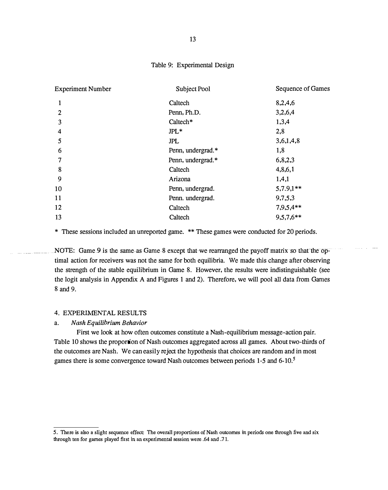#### Table 9: Experimental Design

| <b>Experiment Number</b> | Subject Pool      | Sequence of Games |
|--------------------------|-------------------|-------------------|
| 1                        | Caltech           | 8,2,4,6           |
| $\overline{2}$           | Penn, Ph.D.       | 3,2,6,4           |
| 3                        | Caltech*          | 1,3,4             |
| 4                        | $JPL*$            | 2,8               |
| 5                        | <b>JPL</b>        | 3,6,1,4,8         |
| 6                        | Penn, undergrad.* | 1,8               |
| 7                        | Penn, undergrad.* | 6,8,2,3           |
| 8                        | Caltech           | 4,8,6,1           |
| 9                        | Arizona           | 1,4,1             |
| 10                       | Penn, undergrad.  | $5,7.9,1**$       |
| 11                       | Penn. undergrad.  | 9,7,5,3           |
| 12                       | Caltech           | $7,9,5,4**$       |
| 13                       | Caltech           | $9,5,7,6**$       |
|                          |                   |                   |

\* These sessions included an unreported game. \*\* These games were conducted for 20 periods.

NOTE: Game 9 is the same as Game 8 except that we rearranged the payoff matrix so that the optimal action for receivers was not the same for both equilibria. We made this change after observing the strength of the stable equilibrium in Game 8. However, the results were indistinguishable (see the logit analysis in Appendix A and Figures 1 and 2). Therefore, we will pool all data from Games 8 and 9.

#### 4. EXPERIMENTAL RESULTS

#### a. Nash Equilibrium Behavior

First we look at how often outcomes constitute a Nash-equilibrium message-action pair. Table 10 shows the proportion of Nash outcomes aggregated across all games. About two-thirds of the outcomes are Nash. We can easily reject the hypothesis that choices are random and in most games there is some convergence toward Nash outcomes between periods 1-5 and 6-10.<sup>5</sup>

<sup>5.</sup> There is also a slight sequence effect: The overall proportions of Nash outcomes in periods one through five and six through ten for games played first in an experimental session were .64 and . 71.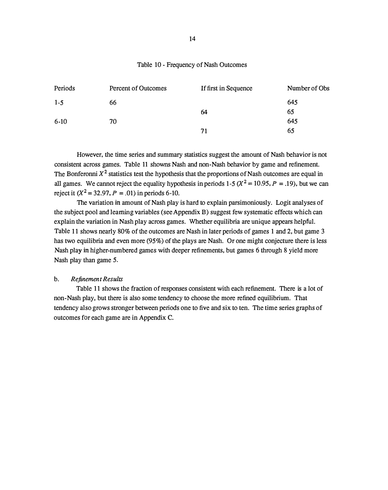#### Table 10 - Frequency of Nash Outcomes

| Periods | Percent of Outcomes | If first in Sequence | Number of Obs |
|---------|---------------------|----------------------|---------------|
| $1 - 5$ | 66                  |                      | 645           |
|         |                     | 64                   | 65            |
| $6-10$  | 70                  |                      | 645           |
|         |                     | 71                   | 65            |

However, the time series and summary statistics suggest the amount of Nash behavior is not consistent across games. Table 11 showns Nash and non-Nash behavior by game and refinement. The Bonferonni  $X^2$  statistics test the hypothesis that the proportions of Nash outcomes are equal in all games. We cannot reject the equality hypothesis in periods 1-5 ( $X^2 = 10.95$ ,  $P = .19$ ), but we can reject it  $(X^2 = 32.97, P = .01)$  in periods 6-10.

The variation in amount of Nash play is hard to explain parsimoniously. Logit analyses of the subject pool and learning variables (see Appendix B) suggest few systematic effects which can explain the variation in Nash play across games. Whether equilibria are unique appears helpful. Table 11 shows nearly 80% of the outcomes are Nash in later periods of games 1 and 2, but game 3 has two equilibria and even more (95%) of the plays are Nash. Or one might conjecture there is less Nash play in higher-numbered games with deeper refinements, but games 6 through 8 yield more Nash play than game 5.

#### b. Refinement Results

Table 11 shows the fraction of responses consistent with each refinement. There is a lot of non-Nash play, but there is also some tendency to choose the more refined equilibrium. That tendency also grows stronger between periods one to five and six to ten. The time series graphs of outcomes for each game are in Appendix C.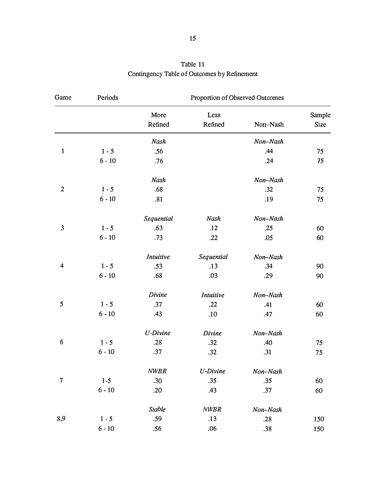| Game                    | Periods      | Proportion of Observed Outcomes |                 |          |                       |  |  |  |
|-------------------------|--------------|---------------------------------|-----------------|----------|-----------------------|--|--|--|
|                         |              | More<br>Refined                 | Less<br>Refined | Non-Nash | Sample<br><b>Size</b> |  |  |  |
|                         |              | Nash                            |                 | Non-Nash |                       |  |  |  |
| $\mathbf{1}$            | $1 - 5$      | .56                             |                 | .44      | 75                    |  |  |  |
|                         | $6 - 10$     | .76                             |                 | .24      | 75                    |  |  |  |
|                         |              | Nash                            |                 | Non-Nash |                       |  |  |  |
| $\mathbf{2}$            | $1 - 5$      | .68                             |                 | .32      | 75                    |  |  |  |
|                         | $6 - 10$     | .81                             |                 | .19      | 75                    |  |  |  |
|                         |              | Sequential                      | Nash            | Non-Nash |                       |  |  |  |
| 3                       | $1 - 5$      | .63                             | .12             | .25      | 60                    |  |  |  |
|                         | $6 - 10$     | .73                             | .22             | .05      | 60                    |  |  |  |
|                         |              | <b>Intuitive</b>                | Sequential      | Non-Nash |                       |  |  |  |
| $\overline{\mathbf{4}}$ | $1 - 5$      | .53                             | .13             | .34      | 90                    |  |  |  |
|                         | $6 - 10$     | .68                             | .03             | .29      | 90                    |  |  |  |
|                         |              | Divine                          | Intuitive       | Non-Nash |                       |  |  |  |
| 5                       | $1 - 5$      | .37                             | .22             | .41      | 60                    |  |  |  |
|                         | $6 - 10$     | .43                             | .10             | .47      | 60                    |  |  |  |
|                         |              | <b>U-Divine</b>                 | Divine          | Non-Nash |                       |  |  |  |
| 6                       | $1 - 5$      | .28                             | .32             | .40      | 75                    |  |  |  |
|                         | $6 - 10$     | .37                             | .32             | .31      | 75                    |  |  |  |
|                         |              | <b>NWBR</b>                     | U-Divine        | Non-Nash |                       |  |  |  |
| 7                       | $1 - 5$      | .30                             | .35             | .35      | 60                    |  |  |  |
|                         | $6$ - $10\,$ | .20                             | .43             | .37      | 60                    |  |  |  |
|                         |              | Stable                          | <b>NWBR</b>     | Non-Nash |                       |  |  |  |
| 8,9                     | $1 - 5$      | .59                             | .13             | .28      | 150                   |  |  |  |
|                         | $6 - 10$     | .56                             | .06             | .38      | 150                   |  |  |  |
|                         |              |                                 |                 |          |                       |  |  |  |

# Table 11 Contingency Table of Outcomes by Refinement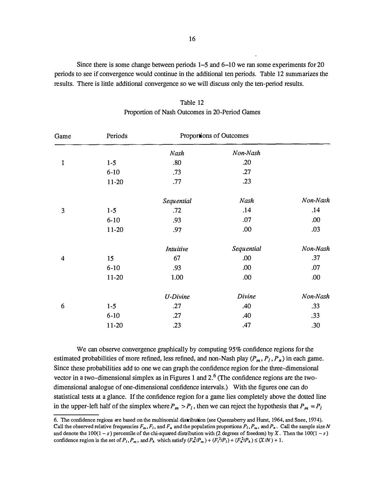Since there is some change between periods  $1-5$  and  $6-10$  we ran some experiments for 20 periods to see if convergence would continue in the additional ten periods. Table 12 summarizes the results. There is little additional convergence so we will discuss only the ten-period results.

| Game                    | Periods  |                  | Proportions of Outcomes |          |  |
|-------------------------|----------|------------------|-------------------------|----------|--|
|                         |          | Nash             | Non-Nash                |          |  |
| 1                       | $1 - 5$  | .80              | .20                     |          |  |
|                         | $6-10$   | .73              | .27                     |          |  |
|                         | $11-20$  | .77              | .23                     |          |  |
|                         |          | Sequential       | Nash                    | Non-Nash |  |
| 3                       | $1 - 5$  | .72              | .14                     | .14      |  |
|                         | $6 - 10$ | .93              | .07                     | .00      |  |
|                         | $11-20$  | .97              | .00                     | .03      |  |
|                         |          | <b>Intuitive</b> | Sequential              | Non-Nash |  |
| $\overline{\mathbf{4}}$ | 15       | 67               | .00                     | .37      |  |
|                         | $6-10$   | .93              | .00                     | .07      |  |
|                         | $11-20$  | 1.00             | .00                     | .00      |  |
|                         |          | <b>U-Divine</b>  | Divine                  | Non-Nash |  |
| 6                       | $1 - 5$  | .27              | .40                     | .33      |  |
|                         | $6-10$   | .27              | .40                     | .33      |  |
|                         | $11-20$  | .23              | .47                     | .30      |  |

Table 12 Proportion of Nash Outcomes in 20-Period Games

We can observe convergence graphically by computing 95% confidence regions for the estimated probabilities of more refined, less refined, and non-Nash play  $(P_m, P_l, P_n)$  in each game. Since these probabilities add to one we can graph the confidence region for the three-dimensional vector in a two-dimensional simplex as in Figures 1 and  $2<sup>6</sup>$  (The confidence regions are the twodimensional analogue of one-dimensional confidence intervals.) With the figures one can do statistical tests at a glance. If the confidence region for a game lies completely above the dotted line in the upper-left half of the simplex where  $P_m > P_l$ , then we can reject the hypothesis that  $P_m = P_l$ 

<sup>6.</sup> The confidence regions are based on the multinomial distribution ( see Queensberry and Hurst. 1964, and Snee, 1974). Call the observed relative frequencies  $F_m, F_l$ , and  $F_n$  and the population proportions  $P_l, P_m$ , and  $P_n$ . Call the sample size N and denote the  $100(1-s)$  percentile of the chi-squared distribution with (2 degrees of freedom) by X. Then the  $100(1-s)$ confidence region is the set of  $P_1, P_m$ , and  $P_h$  which satisfy  $(F_n^2/P_m) + (F_h^2/P_l) + (F_h^2/P_h) \le (X/N) + 1$ .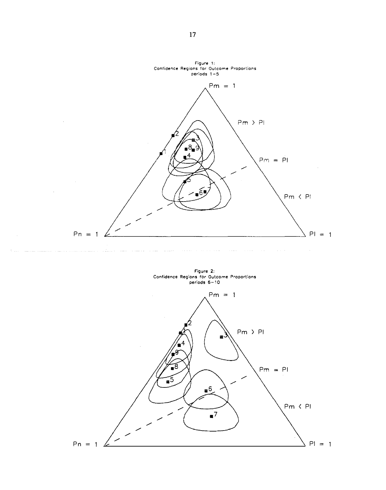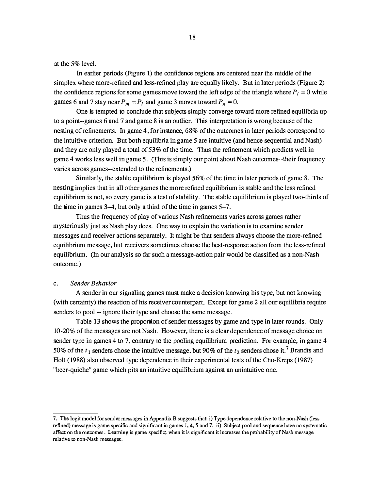at the 5% level.

In earlier periods (Figure 1) the confidence regions are centered near the middle of the simplex where more-refined and less-refined play are equally likely. But in later periods (Figure 2) the confidence regions for some games move toward the left edge of the triangle where  $P<sub>l</sub> = 0$  while games 6 and 7 stay near  $P_m = P_l$  and game 3 moves toward  $P_n = 0$ .

One is tempted to conclude that subjects simply converge toward more refined equilibria up to a point--games 6 and 7 and game 8 is an outlier. This interpretation is wrong because of the nesting of refinements. In game 4, for instance, 68% of the outcomes in later periods correspond to the intuitive criterion. But both equilibria in game 5 are intuitive (and hence sequential and Nash) and they are only played a total of 53% of the time. Thus the refinement which predicts well in game 4 works less well in game 5. (This is simply our point about Nash cutcomes--their frequency varies across games--extended to the refinements.)

Similarly, the stable equilibrium is played 56% of the time in later periods of game 8. The nesting implies that in all other games the more refined equilibrium is stable and the less refined equilibrium is not, so every game is a test of stability. The stable equilibrium is played two-thirds of the time in games 3-4, but only a third of the time in games 5-7.

Thus the frequency of play of various Nash refinements varies across games rather mysteriously just as Nash play does. One way to explain the variation is to examine sender messages and receiver actions separately. It might be that senders always choose the more-refined equilibrium message, but receivers sometimes choose the best-response action from the less-refined equilibrium. (In our analysis so far such a message-action pair would be classified as a non-Nash outcome.)

#### c. Sender Behavior

A sender in our signaling games must make a decision knowing his type, but not knowing (with certainty) the reaction of his receiver counterpart. Except for game 2 all our equilibria require senders to pool -- ignore their type and choose the same message.

Table 13 shows the proportion of sender messages by game and type in later rounds. Only 10-20% of the messages are not Nash. However, there is a clear dependence of message choice on sender type in games 4 to 7, contrary to the pooling equilibrium prediction. For example, in game 4 50% of the  $t_1$  senders chose the intuitive message, but 90% of the  $t_2$  senders chose it.<sup>7</sup> Brandts and Holt (1988) also observed type dependence in their experimental tests of the Cho-Kreps ( 1987) "beer-quiche" game which pits an intuitive equilibrium against an unintuitive one.

<sup>7.</sup> The logit model for sender messages in Appendix B suggests that: i) Type dependence relative to the non-Nash (less refined) message is game specific and significant in games 1, 4, 5 and 7. ii) Subject pool and sequence have no systematic affect on the outcomes. Leaming is game specific; when it is significant it increases the probability of Nash message relative to non-Nash messages.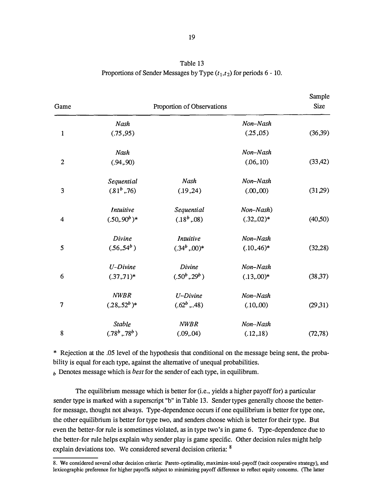| Table 13                                                                |
|-------------------------------------------------------------------------|
| Proportions of Sender Messages by Type $(t_1, t_2)$ for periods 6 - 10. |

| Game           |                  | Proportion of Observations |                | Sample<br><b>Size</b> |
|----------------|------------------|----------------------------|----------------|-----------------------|
|                | Nash             |                            | Non-Nash       |                       |
| 1              | (.75, 95)        |                            | (.25, 05)      | (36,39)               |
|                | Nash             |                            | Non-Nash       |                       |
| $\overline{c}$ | (.94, .90)       |                            | (0.6, 10)      | (33, 42)              |
|                | Sequential       | Nash                       | Non-Nash       |                       |
| 3              | $(81^b, 76)$     | (.19, 24)                  | (.00, 00)      | (31,29)               |
|                | <b>Intuitive</b> | Sequential                 | Non-Nash)      |                       |
| 4              | $(.50, .90b)*$   | (.18 <sup>b</sup> , .08)   | $(.32, .02)^*$ | (40,50)               |
|                | Divine           | <b>Intuitive</b>           | Non-Nash       |                       |
| 5              | $(.56,54^b)$     | $(.34^b, .00)^*$           | $(.10, .46)^*$ | (32, 28)              |
|                | $U$ -Divine      | Divine                     | Non-Nash       |                       |
| 6              | $(.37, .71)^*$   | $(.50^b, .29^b)$           | $(.13,00)*$    | (38, 37)              |
|                | <b>NWBR</b>      | U-Divine                   | Non-Nash       |                       |
| 7              | $(.28,.52^b)^*$  | $(.62^b, .48)$             | (.10, .00)     | (29,31)               |
|                | Stable           | <b>NWBR</b>                | Non-Nash       |                       |
| 8              | $(.78^b, .78^b)$ | (.09, .04)                 | (.12,.18)      | (72, 78)              |

\* Rejection at the .05 level of the hypothesis that conditional on the message being sent, the probability is equal for each type, against the alternative of unequal probabilities.

 $b<sub>b</sub>$  Denotes message which is *best* for the sender of each type, in equilibrum.

The equilibrium message which is better for (i.e., yields a higher payoff for) a particular sender type is marked with a superscript "b" in Table 13. Sender types generally choose the betterfor message, thought not always. Type-dependence occurs if one equilibrium is better for type one, the other equilibrium is better for type two, and senders choose which is better for their type. But even the better-for rule is sometimes violated, as in type two's in game 6. Type-dependence due to the better-for rule helps explain why sender play is game specific. Other decision rules might help explain deviations too. We considered several decision criteria: 8

<sup>8.</sup> We considered several other decision criteria: Pareto-optimality, maximize-total-payoff (tacit cooperative strategy), and lexicographic preference for higher payoffs subject to minimizing payoff difference to reflect equity concerns. (The latter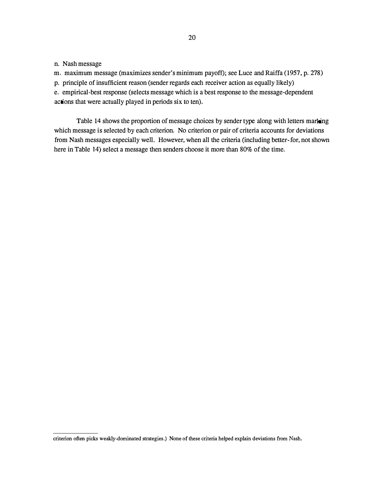n. Nash message

m. maximum message (maximizes sender's minimum payoff); see Luce and Raiffa (1957, p. 278)

p. principle of insufficient reason (sender regards each receiver action as equally likely)

e. empirical-best response (selects message which is a best response to the message-dependent actions that were actually played in periods six to ten).

Table 14 shows the proportion of message choices by sender type along with letters marking which message is selected by each criterion. No criterion or pair of criteria accounts for deviations from Nash messages especially well. However, when all the criteria (including better-for, not shown here in Table 14) select a message then senders choose it more than 80% of the time.

criterion often picks weakly-dominated strategies.) None of these criteria helped explain deviations from Nash.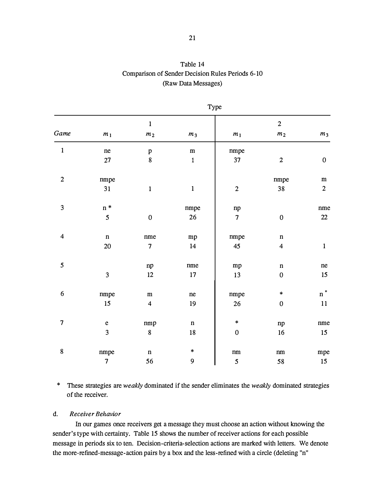# Table 14 Comparison of Sender Decision Rules Periods 6-10 (Raw Data Messages)

|                         | Type                     |                         |                |                  |                         |                  |  |  |  |
|-------------------------|--------------------------|-------------------------|----------------|------------------|-------------------------|------------------|--|--|--|
|                         |                          | $\mathbf{1}$            |                |                  | $\overline{c}$          |                  |  |  |  |
| Game                    | $m_{\,1}$                | m <sub>2</sub>          | m <sub>3</sub> | $m_{\rm 1}$      | m <sub>2</sub>          | m <sub>3</sub>   |  |  |  |
| $\mathbf 1$             | ne                       | $\, {\bf p}$            | ${\bf m}$      | nmpe             |                         |                  |  |  |  |
|                         | $27\,$                   | $\pmb{8}$               | $\mathbf 1$    | 37               | $\overline{2}$          | $\boldsymbol{0}$ |  |  |  |
| $\boldsymbol{2}$        | nmpe                     |                         |                |                  | nmpe                    | ${\bf m}$        |  |  |  |
|                         | 31                       | $\mathbf{1}$            | $\mathbf{1}$   | $\overline{c}$   | 38                      | $\overline{c}$   |  |  |  |
| $\mathfrak{Z}$          | $\mathfrak n$ *          |                         | nmpe           | $\mathbf{np}$    |                         | nme              |  |  |  |
|                         | $\mathfrak{s}$           | ${\bf 0}$               | 26             | $\overline{7}$   | $\pmb{0}$               | $22\,$           |  |  |  |
| $\overline{\mathbf{4}}$ | $\mathbf n$              | nme                     | mp             | nmpe             | $\mathbf n$             |                  |  |  |  |
|                         | $20\,$                   | $\boldsymbol{7}$        | 14             | 45               | $\overline{\mathbf{4}}$ | $\mathbf 1$      |  |  |  |
| 5                       |                          | ${\tt np}$              | nme            | ${\bf m}{\bf p}$ | $\mathbf n$             | ne               |  |  |  |
|                         | $\overline{\mathbf{3}}$  | $12\,$                  | $17\,$         | 13               | $\boldsymbol{0}$        | 15               |  |  |  |
| $\boldsymbol{6}$        | nmpe                     | ${\bf m}$               | ne             | nmpe             | $\ast$                  | $n^*$            |  |  |  |
|                         | 15                       | $\overline{\mathbf{4}}$ | $19$           | 26               | $\pmb{0}$               | $11\,$           |  |  |  |
| $\overline{\mathbf{z}}$ | $\mathbf e$              | nmp                     | $\mathbf n$    | $\ast$           | $\mathbf{np}$           | nme              |  |  |  |
|                         | $\overline{\mathbf{3}}$  | $\bf 8$                 | ${\bf 18}$     | $\pmb{0}$        | $16$                    | 15               |  |  |  |
| 8                       | nmpe                     | $\mathbf n$             | $\ast$         | $\rm{nm}$        | $\rm{nm}$               | mpe              |  |  |  |
|                         | $\overline{\mathcal{L}}$ | 56                      | 9              | 5                | 58                      | $15\,$           |  |  |  |

\* These strategies are weakly dominated if the sender eliminates the weakly dominated strategies of the receiver.

### d. Receiver Behavior

In our games once receivers get a message they must choose an action without knowing the sender's type with certainty. Table 15 shows the number of receiver actions for each possible message in periods six to ten. Decision-criteria-selection actions are marked with letters. We denote the more-refined-message-action pairs by a box and the less-refined with a circle (deleting "n"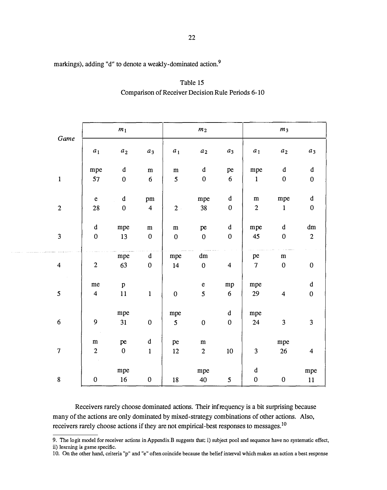| markings), adding "d" to denote a weakly-dominated action. <sup>9</sup> |  |
|-------------------------------------------------------------------------|--|
|-------------------------------------------------------------------------|--|

and an annual

| Game                     |                         | m <sub>1</sub>   |                         |                 | m <sub>2</sub>   |                         |                          | m <sub>3</sub>          |                         |
|--------------------------|-------------------------|------------------|-------------------------|-----------------|------------------|-------------------------|--------------------------|-------------------------|-------------------------|
|                          | a <sub>1</sub>          | $a_2$            | $a_3$                   | a <sub>1</sub>  | $a_2$            | $a_3$                   | $a_1$                    | $a_2$                   | $a_3$                   |
|                          | mpe                     | $\mathbf d$      | ${\bf m}$               | ${\bf m}$       | $\mathbf d$      | pe                      | mpe                      | $\mathbf d$             | $\mathbf d$             |
| $\mathbf 1$              | 57                      | $\boldsymbol{0}$ | $6\,$                   | 5               | $\pmb{0}$        | $6\phantom{a}$          | $\mathbf{1}$             | $\boldsymbol{0}$        | $\pmb{0}$               |
|                          | $\mathbf{e}$            | $\mathbf d$      |                         |                 |                  | $\mathbf d$             | ${\bf m}$                | mpe                     | $\mathbf d$             |
|                          |                         |                  | pm                      |                 | mpe              |                         |                          |                         |                         |
| $\boldsymbol{2}$         | 28                      | $\boldsymbol{0}$ | $\overline{\mathbf{4}}$ | $2 -$           | 38               | $\boldsymbol{0}$        | $\boldsymbol{2}$         | $\mathbf{1}$            | $\pmb{0}$               |
|                          | $\mathbf d$             | mpe              | ${\bf m}$               | ${\bf m}$       | pe               | $\mathbf d$             | mpe                      | d                       | dm                      |
| $\mathbf{3}$             | $\boldsymbol{0}$        | 13               | $\boldsymbol{0}$        | $\pmb{0}$       | $\mathbf{0}$     | $\pmb{0}$               | 45                       | $\boldsymbol{0}$        | $\overline{c}$          |
|                          |                         |                  |                         |                 |                  |                         |                          |                         |                         |
|                          |                         | mpe              | d                       | mpe             | dm               |                         | pe                       | ${\bf m}$               |                         |
| $\overline{\mathbf{4}}$  | $\boldsymbol{2}$        | 63               | $\boldsymbol{0}$        | 14              | $\mathbf{0}$     | $\overline{\mathbf{4}}$ | $\overline{\mathcal{L}}$ | $\bf{0}$                | $\boldsymbol{0}$        |
|                          | me                      | $\, {\bf p}$     |                         |                 | $\mathbf{e}$     | mp                      | mpe                      |                         | $\mathbf d$             |
|                          |                         |                  |                         |                 |                  |                         |                          |                         |                         |
| 5                        | $\overline{\mathbf{4}}$ | 11               | $\mathbf{1}$            | $\pmb{0}$       | $5\overline{)}$  | $6\,$                   | 29                       | $\overline{\mathbf{4}}$ | $\pmb{0}$               |
|                          |                         | mpe              |                         | mpe             |                  | $\mathbf d$             | mpe                      |                         |                         |
| $\boldsymbol{6}$         | $\boldsymbol{9}$        | 31               | $\pmb{0}$               | $5\overline{)}$ | $\boldsymbol{0}$ | $\boldsymbol{0}$        | 24                       | $\mathbf{3}$            | $\overline{\mathbf{3}}$ |
|                          |                         |                  |                         |                 |                  |                         |                          |                         |                         |
|                          | ${\bf m}$               | pe               | $\mathbf d$             | pe              | ${\bf m}$        |                         |                          | mpe                     |                         |
| $\overline{\mathcal{I}}$ | $\boldsymbol{2}$        | $\pmb{0}$        | $\mathbf{1}$            | 12              | $\overline{c}$   | 10                      | $\mathbf{3}$             | 26                      | $\overline{\mathbf{4}}$ |
|                          |                         |                  |                         |                 |                  |                         |                          |                         |                         |
|                          |                         | mpe              |                         |                 | mpe              |                         | $\mathbf d$              |                         | mpe                     |
| $\bf 8$                  | $\pmb{0}$               | $16\,$           | $\pmb{0}$               | ${\bf 18}$      | $40\,$           | $\mathfrak{s}$          | $\pmb{0}$                | $\pmb{0}$               | 11                      |

Table 15 Comparison of Receiver Decision Rule Periods 6-10

Receivers rarely choose dominated actions. Their infrequency is a bit surprising because many of the actions are only dominated by mixed-strategy combinations of other actions. Also, receivers rarely choose actions if they are not empirical-best responses to messages.<sup>10</sup>

9. The Io git model for receiver actions in Appendix B suggests that; i) subject pool and sequence have no systematic effect, ii) learning is game specific.

10. On the other hand, criteria "p" and "e" often coincide because the belief interval which makes an action a best response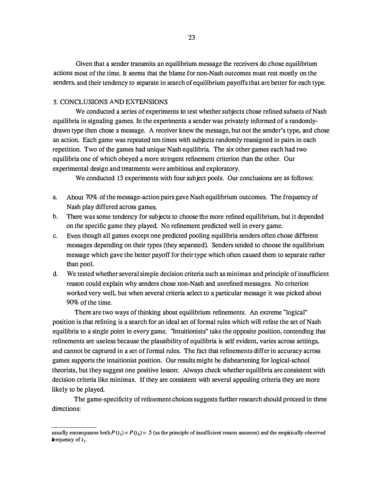Given that a sender transmits an equilibrium message the receivers do chose equilibrium actions most of the time. It seems that the blame for non-Nash outcomes must rest mostly on the senders, and their tendency to separate in search of equilibrium payoffs that are better for each type.

#### 5. CONCLUSIONS AND EXTENSIONS

We conducted a series of experiments to test whether subjects chose refined subsets of Nash equilibria in signaling games. In the experiments a sender was privately informed of a randomlydrawn type then chose a message. A receiver knew the message, but not the sender's type, and chose an action. Each game was repeated ten times with subjects randomly reassigned in pairs in each repetition. Two of the games had unique Nash equilibria. The six other games each had two equilibria one of which obeyed a more stringent refinement criterion than the other. Our experimental design and treatments were ambitious and exploratory.

We conducted 13 experiments with four subject pools. Our conclusions are as follows:

- a. About 70% of the message-action pairs gave Nash equilibrium outcomes. The frequency of Nash play differed across games.
- b. There was some tendency for subjects to choose the more refined equilibrium, but it depended on the specific game they played. No refinement predicted well in every game.
- c. Even though all games except one predicted pooling equilibria senders often chose different messages depending on their types (they separated). Senders tended to choose the equilibrium message which gave the better payoff for their type which often caused them to separate rather than pool.
- d. We tested whether several simple decision criteria such as minimax and principle of insufficient reason could explain why senders chose non-Nash and unrefined messages. No criterion worked very well, but when several criteria select to a particular message it was picked about 90% of the time.

There are two ways of thinking about equilibrium refinements. An extreme "logical" position is that refining is a search for an ideal set of formal rules which will refine the set of Nash equilibria to a single point in every game. "Intuitionists" take the opposite position, contending that refinements are useless because the plausibility of equilibria is self evident, varies across settings, and cannot be captured in a set of formal rules. The fact that refinements differ in accuracy across games supports the intuitionist position. Our results might be disheartening for logical-school theorists, but they suggest one positive lesson: Always check whether equilibria are consistent with decision criteria like minimax. If they are consistent with several appealing criteria they are more likely to be played.

The game-specificity of refinement choices suggests further research should proceed in three directions:

usually encompasses both  $P(t_1) = P(t_2) = .5$  (as the principle of insufficient reason assumes) and the empirically-observed frequency of  $t_1$ .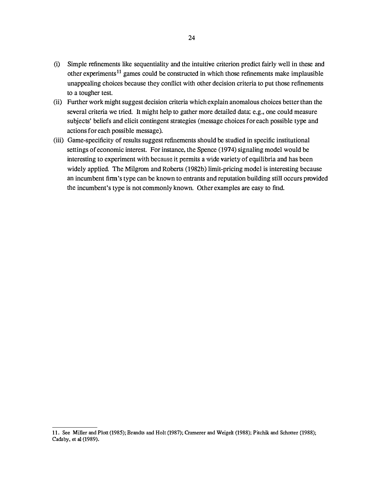- (i) Simple refinements like sequentiality and the intuitive criterion predict fairly well in these and other experiments<sup>11</sup> games could be constructed in which those refinements make implausible unappealing choices because they conflict with other decision criteria to put those refinements to a tougher test.
- (ii) Further work might suggest decision criteria which explain anomalous choices better than the several criteria we tried. It might help to gather more detailed data; e.g., one could measure subjects' beliefs and elicit contingent strategies (message choices for each possible type and actions for each possible message).
- (iii) Game-specificity of results suggest refinements should be studied in specific institutional settings of economic interest. For instance, the Spence (1974) signaling model would be interesting to experiment with because it permits a wide variety of equilibria and has been widely applied. The Milgrom and Roberts (1982b) limit-pricing model is interesting because an incumbent firm's type can be known to entrants and reputation building still occurs provided the incumbent's type is not commonly known. Other examples are easy to find.

<sup>11.</sup> See Miller and Plott (1985); Brandts and Holt (1987); Cramerer and Weigelt (1988); Pitchik and Schotter (1988); Cadsby, et al (1989).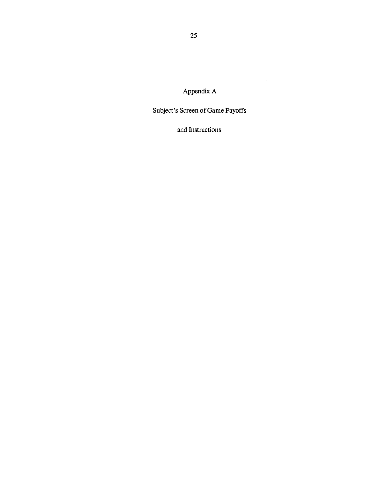Appendix A

 $\mathcal{A}$ 

Subject's Screen of Game Payoffs

and Instructions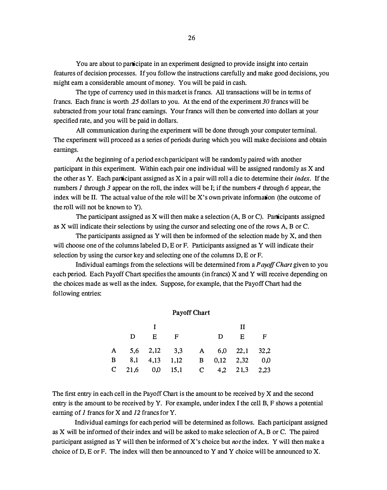You are about to participate in an experiment designed to provide insight into certain features of decision processes. If you follow the instructions carefully and make good decisions, you might earn a considerable amount of money. You will be paid in cash.

The type of currency used in this market is francs. All transactions will be in terms of francs. Each franc is worth .25 dollars to you. At the end of the experiment 30 francs will be subtracted from your total franc earnings. Your francs will then be converted into dollars at your specified rate, and you will be paid in dollars.

All communication during the experiment will be done through your computer terminal. The experiment will proceed as a series of periods during which you will make decisions and obtain earnings.

At the beginning of a period each participant will be randomly paired with another participant in this experiment. Within each pair one individual will be assigned randomly as X and the other as Y. Each participant assigned as X in a pair will roll a die to determine their index. If the numbers 1 through 3 appear on the roll, the index will be I; if the numbers 4 through 6 appear, the index will be II. The actual value of the role will be X's own private information (the outcome of the roll will not be known to Y).

The participant assigned as X will then make a selection (A, B or C). Participants assigned as X will indicate their selections by using the cursor and selecting one of the rows A, B or C.

The participants assigned as Y will then be informed of the selection made by X, and then will choose one of the columns labeled D, E or F. Participants assigned as Y will indicate their selection by using the cursor key and selecting one of the columns D, E or F.

Individual earnings from the selections will be determined from a Payoff Chart given to you each period. Each Payoff Chart specifies the amounts (in francs) X and Y will receive depending on the choices made as well as the index. Suppose, for example, that the Payoff Chart had the following entries:

#### Payoff Chart

|  |       |                                 |  | Н     |  |
|--|-------|---------------------------------|--|-------|--|
|  | D E F |                                 |  | D E F |  |
|  |       | A 5,6 2,12 3,3 A 6,0 22,1 32,2  |  |       |  |
|  |       | B 8,1 4,13 1,12 B 0,12 2,32 0,0 |  |       |  |
|  |       | C 21,6 0,0 15,1 C 4,2 21,3 2,23 |  |       |  |

The first entry in each cell in the Payoff Chart is the amount to be received by X and the second entry is the amount to be received by Y. For example, under index I the cell B, F shows a potential earning of 1 francs for X and 12 francs for Y.

Individual earnings for each period will be determined as follows. Each participant assigned as X will be informed of their index and will be asked to make selection of A, B or C. The paired participant assigned as Y will then be informed of X's choice but *not* the index. Y will then make a choice of D, E or F. The index will then be announced to Y and Y choice will be announced to X.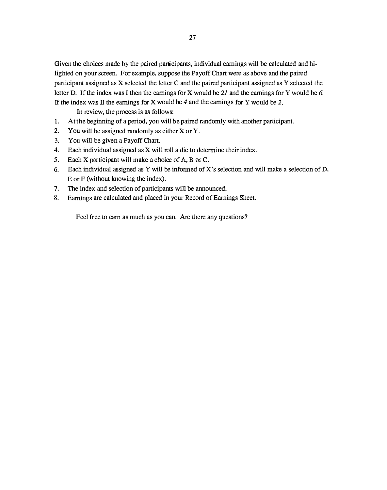Given the choices made by the paired participants, individual earnings will be calculated and hilighted on your screen. For example, suppose the Payoff Chart were as above and the paired participant assigned as X selected the letter C and the paired participant assigned as Y selected the letter D. If the index was I then the earnings for X would be  $21$  and the earnings for Y would be 6. If the index was II the earnings for X would be  $4$  and the earnings for Y would be 2.

In review, the process is as follows:

- 1. At the beginning of a period, you will be paired randomly with another participant.
- 2. You will be assigned randomly as either X or Y.
- 3. You will be given a PayoffChart.
- 4. Each individual assigned as X will roll a die to determine their index.
- 5. Each X participant will make a choice of A, B or C.
- 6. Each individual assigned as Y will be informed of X's selection and will make a selection of D, E or F (without knowing the index).
- 7. The index and selection of participants will be announced.
- 8. Earnings are calculated and placed in your Record of Earnings Sheet.

Feel free to earn as much as you can. Are there any questions?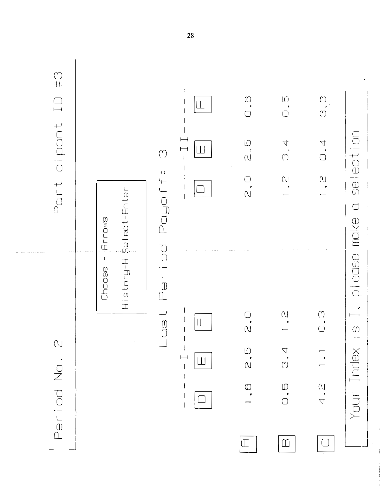| $\begin{array}{c} \text{ } \\ \text{ } \\ \text{ } \\ \text{ } \end{array}$<br>$\overline{\phantom{0}}$ |                                    | $\begin{pmatrix} 1 \\ 1 \end{pmatrix}$                      | $\vdash$<br>$\vdash$<br>Ш     | $\begin{array}{c} \bigcirc \\ \bullet \end{array}$<br>$\frac{1}{2}$ | $\begin{array}{c} \square \\ \square \end{array}$<br>$\ddot{u}$                        | $\begin{array}{c} \mathbb{C} \\ \mathbb{C} \end{array}$<br>0, 4   |                                            |
|---------------------------------------------------------------------------------------------------------|------------------------------------|-------------------------------------------------------------|-------------------------------|---------------------------------------------------------------------|----------------------------------------------------------------------------------------|-------------------------------------------------------------------|--------------------------------------------|
| Participant                                                                                             | Select-Enter<br>Arrows             | $\mathfrak{o}$<br>Payoff                                    |                               | ⌒<br>$\overline{\overline{a}}$                                      | $\sum_{\mathbf{r}}$                                                                    | $\bigcup_{\mathbf{r}}$                                            | selection<br>$\overline{\bigcup}$<br>Inake |
|                                                                                                         | $\mathbf I$<br>History:H<br>Choose | $\overline{\phantom{a}}$<br>$\bar{\overset{0}{\mathbb{D}}}$ |                               |                                                                     | N                                                                                      | $\left(\begin{smallmatrix} 1\\1\\1\\1\\ \end{smallmatrix}\right)$ | p lease<br>$\bullet$                       |
| $\bigcirc$<br>Period No.                                                                                |                                    | $\frac{1}{2}$                                               | $\overline{\phantom{0}}$<br>Ш | $\alpha$<br>$\frac{1}{2}$<br>$\bigcirc$                             | $\Delta$<br>$(\tilde{C})$<br>$\hspace{0.1em}\textcircled{\scriptsize{1}}$<br>$\bigcap$ | $\begin{array}{c} 1 \\ 2 \\ 4 \end{array}$                        | $\bigcirc$<br>Your Index                   |
|                                                                                                         |                                    |                                                             |                               | $(\Gamma$                                                           | $\mathbb D$                                                                            | $\left( \begin{array}{c} \end{array} \right)$                     |                                            |

. . . . . . . . . . .

28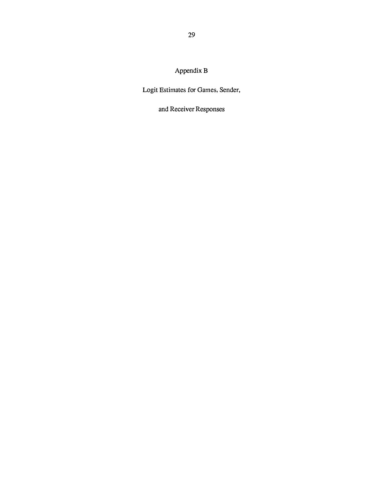Appendix B

Logit Estimates for Games, Sender,

and Receiver Responses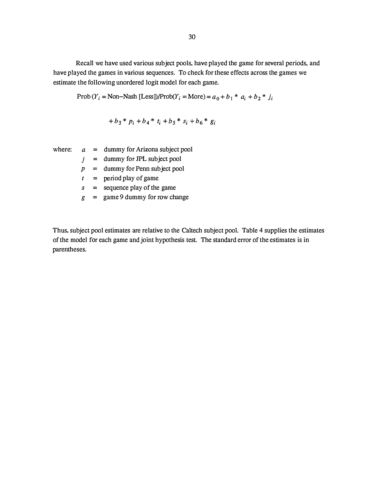Recall we have used various subject pools, have played the game for several periods, and have played the games in various sequences. To check for these effects across the games we estimate the following unordered logit model for each game.

Prob 
$$
(Y_i = \text{Non-Nash [Less]})
$$
/Prob $(Y_i = \text{More}) = a_0 + b_1 * a_i + b_2 * j_i$ 

$$
+b_3 * p_i + b_4 * t_i + b_5 * s_i + b_6 * g_i
$$

|   | where: $a = \text{dummy}$ for Arizona subject pool |
|---|----------------------------------------------------|
|   | = dummy for JPL subject pool                       |
|   | $=$ dummy for Penn subject pool                    |
|   | $=$ period play of game                            |
| S | $=$ sequence play of the game                      |
| Ľ | $=$ game 9 dummy for row change                    |
|   |                                                    |

Thus, subject pool estimates are relative to the Caltech subject pool. Table 4 supplies the estimates of the model for each game and joint hypothesis test. The standard error of the estimates is in parentheses.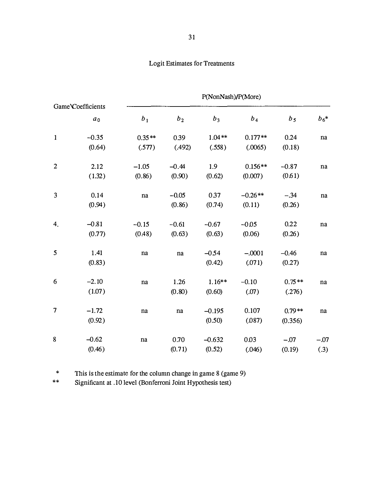# Logit Estimates for Treatments

|                |                   | P(NonNash)/P(More) |                |          |                |                |        |  |
|----------------|-------------------|--------------------|----------------|----------|----------------|----------------|--------|--|
|                | Game Coefficients |                    |                |          |                |                |        |  |
|                | a <sub>0</sub>    | b <sub>1</sub>     | b <sub>2</sub> | $b_3$    | b <sub>4</sub> | b <sub>5</sub> | $b_6*$ |  |
| $\mathbf{1}$   | $-0.35$           | $0.35**$           | 0.39           | $1.04**$ | $0.177**$      | 0.24           | na     |  |
|                | (0.64)            | (.577)             | (.492)         | (.558)   | (.0065)        | (0.18)         |        |  |
| $\overline{2}$ | 2.12              | $-1.05$            | $-0.44$        | 1.9      | $0.156**$      | $-0.87$        | na     |  |
|                | (1.32)            | (0.86)             | (0.90)         | (0.62)   | (0.007)        | (0.61)         |        |  |
| 3              | 0.14              | na                 | $-0.05$        | 0.37     | $-0.26**$      | $-.34$         | na     |  |
|                | (0.94)            |                    | (0.86)         | (0.74)   | (0.11)         | (0.26)         |        |  |
| 4.             | $-0.81$           | $-0.15$            | $-0.61$        | $-0.67$  | $-0.05$        | 0.22           | na     |  |
|                | (0.77)            | (0.48)             | (0.63)         | (0.63)   | (0.06)         | (0.26)         |        |  |
| 5              | 1.41              | $\bf na$           | $\bf na$       | $-0.54$  | $-.0001$       | $-0.46$        | na     |  |
|                | (0.83)            |                    |                | (0.42)   | (.071)         | (0.27)         |        |  |
| 6              | $-2.10$           | na                 | 1.26           | $1.16**$ | $-0.10$        | $0.75**$       | na     |  |
|                | (1.07)            |                    | (0.80)         | (0.60)   | (.07)          | (.276)         |        |  |
| 7              | $-1.72$           | na                 | na             | $-0.195$ | 0.107          | $0.79**$       | na     |  |
|                | (0.92)            |                    |                | (0.50)   | (.087)         | (0.356)        |        |  |
| 8              | $-0.62$           | na                 | 0.70           | $-0.632$ | 0.03           | $-.07$         | $-.07$ |  |
|                | (0.46)            |                    | (0.71)         | (0.52)   | (.046)         | (0.19)         | (.3)   |  |

\* 1his is the estimate for the column change in game 8 (game 9)

\*\* Significant at .10 level (Bonferroni Joint Hypothesis test)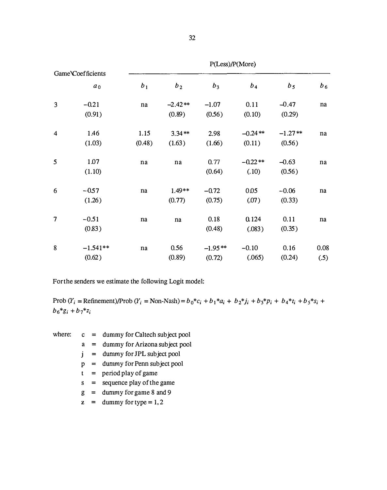|         | P(Less)/P(More)                            |                |            |                   |                  |              |  |  |
|---------|--------------------------------------------|----------------|------------|-------------------|------------------|--------------|--|--|
|         |                                            |                |            |                   |                  |              |  |  |
| $a_0$   | b <sub>1</sub>                             | b <sub>2</sub> | $b_3$      | b <sub>4</sub>    | b <sub>5</sub>   | $b_6$        |  |  |
| $-0.21$ | $\bf na$                                   | $-2.42**$      | $-1.07$    | 0.11              | $-0.47$          | na           |  |  |
| (0.91)  |                                            | (0.89)         | (0.56)     | (0.10)            | (0.29)           |              |  |  |
| 1.46    | 1.15                                       | $3.34**$       | 2.98       | $-0.24**$         | $-1.27**$        | na           |  |  |
| (1.03)  | (0.48)                                     | (1.63)         | (1.66)     | (0.11)            | (0.56)           |              |  |  |
| 1.07    | $\bf na$                                   | na             | 0.77       | $-0.22**$         | $-0.63$          | na           |  |  |
| (1.10)  |                                            |                | (0.64)     | (.10)             | (0.56)           |              |  |  |
| $-0.57$ | na                                         | $1.49**$       | $-0.72$    | 0.05              | $-0.06$          | na           |  |  |
| (1.26)  |                                            | (0.77)         | (0.75)     | (.07)             | (0.33)           |              |  |  |
|         | na                                         |                |            |                   |                  | na           |  |  |
| (0.83)  |                                            |                | (0.48)     | (.083)            | (0.35)           |              |  |  |
|         |                                            |                |            |                   |                  | 0.08         |  |  |
| (0.62)  |                                            | (0.89)         | (0.72)     | (.065)            | (0.24)           | (.5)         |  |  |
|         | Game Coefficients<br>$-0.51$<br>$-1.541**$ | na             | na<br>0.56 | 0.18<br>$-1.95**$ | 0.124<br>$-0.10$ | 0.11<br>0.16 |  |  |

For the senders we estimate the following Logit model:

Prob  $(Y_i = \text{Refinement})/\text{Prob}(Y_i = \text{Non-Nash}) = b_0 * c_i + b_1 * a_i + b_2 * j_i + b_3 * p_i + b_4 * t_i + b_5 * s_i +$  $b_6 * g_i + b_7 * z_i$ 

- where:  $c = \text{dummy for Caltech subject pool}$ 
	- a = dummy for Arizona subject pool
	- $j =$  dummy for JPL subject pool
	- $p =$  dummy for Penn subject pool
	- $t =$  period play of game
	- s = sequence play of the game
	- $g =$  dummy for game 8 and 9
	- $z =$  dummy for type = 1, 2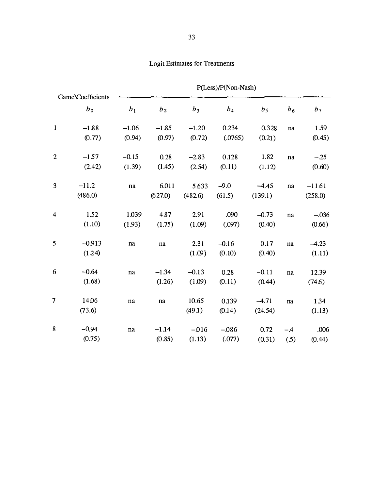| Game Coefficients       |          | P(Less)/P(Non-Nash) |                |         |         |                |                |                |  |
|-------------------------|----------|---------------------|----------------|---------|---------|----------------|----------------|----------------|--|
|                         | $b_0$    | b <sub>1</sub>      | b <sub>2</sub> | $b_3$   | $b_4$   | b <sub>5</sub> | b <sub>6</sub> | b <sub>7</sub> |  |
| $\mathbf{1}$            | $-1.88$  | $-1.06$             | $-1.85$        | $-1.20$ | 0.234   | 0.328          | na             | 1.59           |  |
|                         | (0.77)   | (0.94)              | (0.97)         | (0.72)  | (.0765) | (0.21)         |                | (0.45)         |  |
| $\overline{2}$          | $-1.57$  | $-0.15$             | 0.28           | $-2.83$ | 0.128   | 1.82           | na             | $-.25$         |  |
|                         | (2.42)   | (1.39)              | (1.45)         | (2.54)  | (0.11)  | (1.12)         |                | (0.60)         |  |
| 3                       | $-11.2$  | $\bf na$            | 6.011          | 5.633   | $-9.0$  | $-4.45$        | na             | $-11.61$       |  |
|                         | (486.0)  |                     | (627.0)        | (482.6) | (61.5)  | (139.1)        |                | (258.0)        |  |
| $\overline{\mathbf{4}}$ | 1.52     | 1.039               | 4.87           | 2.91    | .090    | $-0.73$        | na             | $-.036$        |  |
|                         | (1.10)   | (1.93)              | (1.75)         | (1.09)  | (.097)  | (0.40)         |                | (0.66)         |  |
| 5                       | $-0.913$ | na                  | na             | 2.31    | $-0.16$ | 0.17           | na             | $-4.23$        |  |
|                         | (1.24)   |                     |                | (1.09)  | (0.10)  | (0.40)         |                | (1.11)         |  |
| 6                       | $-0.64$  | na                  | $-1.34$        | $-0.13$ | 0.28    | $-0.11$        | na             | 12.39          |  |
|                         | (1.68)   |                     | (1.26)         | (1.09)  | (0.11)  | (0.44)         |                | (74.6)         |  |
| $\overline{7}$          | 14.06    | $\bf na$            | na             | 10.65   | 0.139   | $-4.71$        | na             | 1.34           |  |
|                         | (73.6)   |                     |                | (49.1)  | (0.14)  | (24.54)        |                | (1.13)         |  |
| 8                       | $-0.94$  | $\bf na$            | $-1.14$        | $-016$  | $-086$  | 0.72           | $-.4$          | .006           |  |
|                         | (0.75)   |                     | (0.85)         | (1.13)  | (.077)  | (0.31)         | (5)            | (0.44)         |  |

# Logit Estimates for Treatments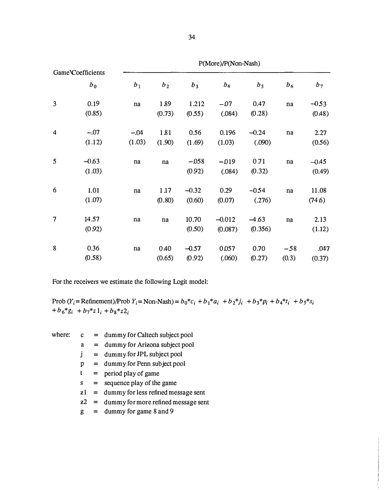| Game Coefficients<br>$b_0$ |                   |                  |                |                   | $P(More)/P(Non-Nash)$ |                    |                |                   |
|----------------------------|-------------------|------------------|----------------|-------------------|-----------------------|--------------------|----------------|-------------------|
|                            |                   | b <sub>1</sub>   | b <sub>2</sub> | $b_3$             | $b_4$                 | b <sub>5</sub>     | b <sub>6</sub> | $b_7$             |
| 3                          | 0.19<br>(0.85)    | na               | 1.89<br>(0.73) | 1.212<br>(0.55)   | $-07$<br>(.084)       | 0.47<br>(0.28)     | $\bf na$       | $-0.53$<br>(0.48) |
| $\overline{4}$             | $-.07$<br>(1.12)  | $-.04$<br>(1.03) | 181<br>(1.90)  | 0.56<br>(1.69)    | 0.196<br>(1.03)       | $-0.24$<br>(.090)  | na             | 2.27<br>(0.56)    |
| 5                          | $-0.63$<br>(1.03) | $\bf na$         | na             | $-0.58$<br>(0.92) | $-019$<br>(.084)      | 0.71<br>(0.32)     | na             | $-0.45$<br>(0.49) |
| 6                          | 1.01<br>(1.07)    | $\bf na$         | 1.17<br>(0.80) | $-0.32$<br>(0.60) | 0.29<br>(0.07)        | $-0.54$<br>(.276)  | na             | 11.08<br>(74.6)   |
| $\overline{7}$             | 14.57<br>(0.92)   | na               | $\bf na$       | 10.70<br>(0.50)   | $-0.012$<br>(0.087)   | $-4.63$<br>(0.356) | na             | 2.13<br>(1.12)    |
| 8                          | 0.36<br>(0.58)    | $\bf na$         | 0.40<br>(0.65) | $-0.57$<br>(0.92) | 0.057<br>(.060)       | 0.70<br>(0.27)     | $-58$<br>(0.3) | .047<br>(0.37)    |

For the receivers we estimate the following Logit model:

Prob (Y<sub>i</sub> = Refinement)/Prob Y<sub>i</sub> = Non-Nash) =  $b_0 * c_i + b_1 * a_i + b_2 * j_i + b_3 * p_i + b_4 * t_i + b_5 * s_i$  $+ b_6*_{{\mathcal S}_i} + b_7*_{{\mathcal Z}} {\mathbf 1}_i + b_8*_{{\mathcal Z}} {\mathbf 2}_i$ 

|   | where: $c = \text{dummy}$ for Caltech subject pool |
|---|----------------------------------------------------|
| a | $=$ dummy for Arizona subject pool                 |
|   | $=$ dummy for JPL subject pool                     |
| D | = dummy for Penn subject pool                      |
| t | $=$ period play of game                            |
| S | = sequence play of the game                        |

zl = dummy for less refined message sent

- z2 = dummy for more refined message sent
- $g =$  dummy for game 8 and 9

P(More)/P(Non-Nash)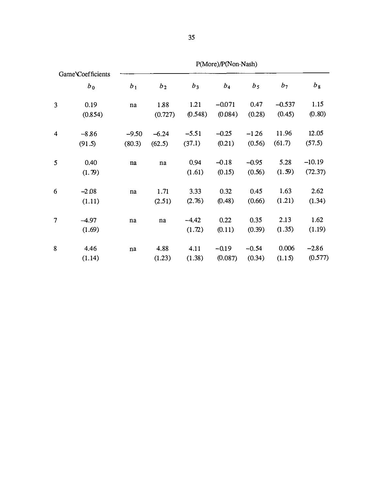| Game Coefficients<br>$b_0$ |         | $P(NIOTE)/P(NOI-NdSn)$ |                |         |          |                |          |          |  |
|----------------------------|---------|------------------------|----------------|---------|----------|----------------|----------|----------|--|
|                            |         | b <sub>1</sub>         | b <sub>2</sub> | $b_3$   | $b_4$    | b <sub>5</sub> | $b_7$    | $b_8$    |  |
| $\overline{3}$             | 0.19    | na                     | 1.88           | 1.21    | $-0.071$ | 0.47           | $-0.537$ | 1.15     |  |
|                            | (0.854) |                        | (0.727)        | (0.548) | (0.084)  | (0.28)         | (0.45)   | (0.80)   |  |
| $\overline{\mathbf{4}}$    | $-8.86$ | $-9.50$                | $-6.24$        | $-5.51$ | $-0.25$  | $-126$         | 11.96    | 12.05    |  |
|                            | (91.5)  | (80.3)                 | (62.5)         | (37.1)  | (0.21)   | (0.56)         | (61.7)   | (57.5)   |  |
| 5                          | 0.40    | na                     | na             | 0.94    | $-0.18$  | $-0.95$        | 5.28     | $-10.19$ |  |
|                            | (1.79)  |                        |                | (1.61)  | (0.15)   | (0.56)         | (1.59)   | (72.37)  |  |
| 6                          | $-2.08$ | na                     | 1.71           | 3.33    | 0.32     | 0.45           | 1.63     | 2.62     |  |
|                            | (1.11)  |                        | (2.51)         | (2.76)  | (0.48)   | (0.66)         | (1.21)   | (1.34)   |  |
| $\overline{7}$             | $-4.97$ | na                     | na             | $-4.42$ | 0.22     | 0.35           | 2.13     | 1.62     |  |
|                            | (1.69)  |                        |                | (1.72)  | (0.11)   | (0.39)         | (1.35)   | (1.19)   |  |
| 8                          | 4.46    | $\bf na$               | 4.88           | 4.11    | $-0.19$  | $-0.54$        | 0.006    | $-2.86$  |  |
|                            | (1.14)  |                        | (1.23)         | (1.38)  | (0.087)  | (0.34)         | (1.15)   | (0.577)  |  |

P(More)/P(Non-Nash)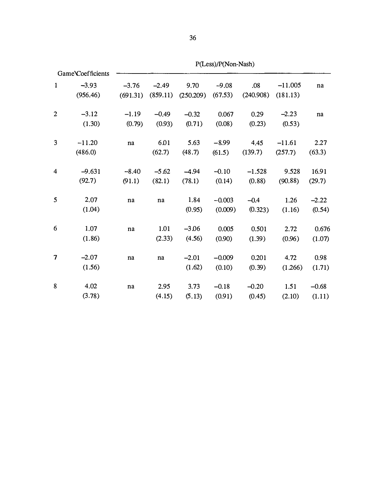|                                | Game Coefficients |          |                        |                                  |          |           |           |                        |
|--------------------------------|-------------------|----------|------------------------|----------------------------------|----------|-----------|-----------|------------------------|
| $\mathbf{1}$                   | $-3.93$           | $-3.76$  | $-2.49$                | 9.70                             | $-9.08$  | .08       | $-11.005$ | na                     |
|                                | (956.46)          | (691.31) |                        | $(859.11)$ $(250.209)$ $(67.53)$ |          | (240.908) | (181.13)  |                        |
| $\overline{2}$                 | $-3.12$           | $-1.19$  | $-0.49$                | $-0.32$                          | 0.067    | 0.29      | $-2.23$   | $\mathbf{n}\mathbf{a}$ |
|                                | (1.30)            | (0.79)   | (0.93)                 | (0.71)                           | (0.08)   | (0.23)    | (0.53)    |                        |
| 3                              | $-11.20$          | na       | 6.01                   | 5.63                             | $-8.99$  | 4.45      | $-11.61$  | 2.27                   |
|                                | (486.0)           |          | (62.7)                 | (48.7)                           | (61.5)   | (139.7)   | (257.7)   | (63.3)                 |
| 4                              | $-9.631$          | $-8.40$  | $-5.62$                | $-4.94$                          | $-0.10$  | $-1.528$  | 9.528     | 16.91                  |
|                                | (92.7)            | (91.1)   | (82.1)                 | (78.1)                           | (0.14)   | (0.88)    | (90.88)   | (29.7)                 |
| 5                              | 2.07              | na       | $\mathbf{n}\mathbf{a}$ | 1.84                             | $-0.003$ | $-0.4$    | 1.26      | $-2.22$                |
|                                | (1.04)            |          |                        | (0.95)                           | (0.009)  | (0.323)   | (1.16)    | (0.54)                 |
| 6                              | 1.07              | $\bf na$ | 1.01                   | $-3.06$                          | 0.005    | 0.501     | 2.72      | 0.676                  |
|                                | (1.86)            |          | (2.33)                 | (4.56)                           | (0.90)   | (1.39)    | (0.96)    | (1.07)                 |
| $\overline{\boldsymbol{\eta}}$ | $-2.07$           | na       | na                     | $-2.01$                          | $-0.009$ | 0.201     | 4.72      | 0.98                   |
|                                | (1.56)            |          |                        | (1.62)                           | (0.10)   | (0.39)    | (1.266)   | (1.71)                 |
| 8                              | 4.02              | na       | 2.95                   | 3.73                             | $-0.18$  | $-0.20$   | 1.51      | $-0.68$                |
|                                | (3.78)            |          | (4.15)                 | (5.13)                           | (0.91)   | (0.45)    | (2.10)    | (1.11)                 |

P(Less)/P(Non-Nash)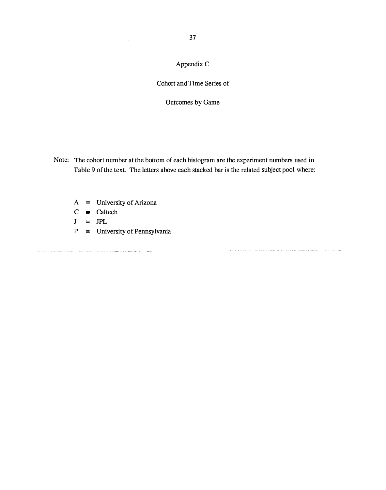# Appendix C

## Cohort and Time Series of

Outcomes by Game

- Note: The cohort number at the bottom of each histogram are the experiment numbers used in Table 9 of the text. The letters above each stacked bar is the related subject pool where:
	- $A =$  University of Arizona
	- $C \equiv$  Caltech
	- $J \equiv JPL$
	- $P =$  University of Pennsylvania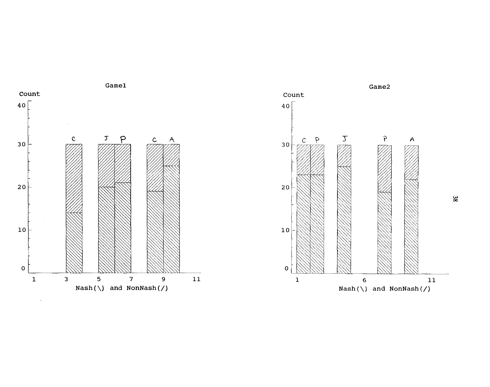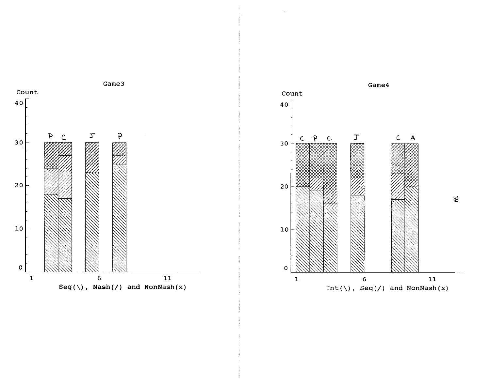

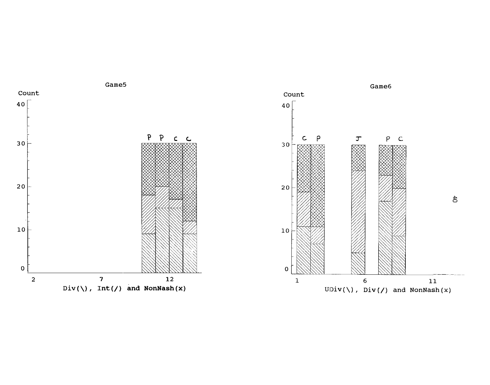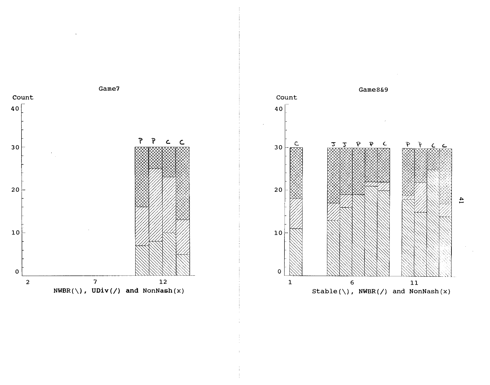



 $\ddot{4}$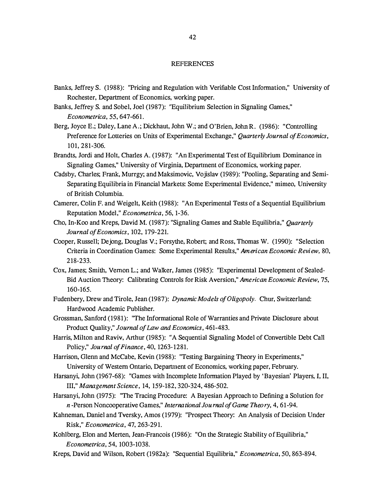#### **REFERENCES**

- Banks, Jeffrey S. (1988): "Pricing and Regulation with Verifiable Cost Information," University of Rochester, Department of Economics, working paper.
- Banks, Jeffrey S. and Sobel, Joel (1987): "Equilibrium Selection in Signaling Games," Econometrica, 55, 647-661.
- Berg, Joyce E.; Daley, Lane A.; Dickhaut, John W.; and O'Brien, John R. (1986): "Controlling Preference for Lotteries on Units of Experimental Exchange," Quarterly Journal of Economics, 101, 281-306.
- Brandts, Jordi and Holt, Charles A. (1987): "An Experimental Test of Equilibrium Dominance in Signaling Games," University of Virginia, Departtnent of Economics, working paper.
- Cadsby, Charles; Frank, Murrgy; and Maksimovic, Vojislav (1989): "Pooling, Separating and Semi-Separating Equilibria in Financial Markets: Some Experimental Evidence," mimeo, University of British Columbia.
- Camerer, Colin F. and Weigelt, Keith (1988): "An Experimental Tests of a Sequential Equilibrium Reputation Model," Econometrica, 56, 1-36.
- Cho, In-Koo and Kreps, David M. (1987): "Signaling Games and Stable Equilibria," Quarterly Journal of Economics, 102, 179-221.
- Cooper, Russell; Dejong, Douglas V.; Forsythe, Robert; and Ross, Thomas W. (1990): "Selection Criteria in Coordination Games: Some Experimental Results," American Economic Review, 80, 218-233.
- Cox, James; Smith, Vernon L.; and Walker, James (1985): "Experimental Development of Sealed-Bid Auction Theory: Calibrating Controls for Risk Aversion," American Economic Review, 75, 160-165.
- Fudenbery, Drew and Tirole, Jean (1987): Dynamic Models of Oligopoly. Chur, Switzerland: Hardwood Academic Publisher.
- Grossman, Sanford (1981): "The Informational Role of Warranties and Private Disclosure about Product Quality," Journal of Law and Economics, 461-483.
- Harris, Milton and Raviv, Arthur (1985): "A Sequential Signaling Model of Convertible Debt Call Policy," Journal of Finance, 40, 1263- 1281.
- Harrison, Glenn and McCabe, Kevin (1988): "Testing Bargaining Theory in Experiments," University of Western Ontario, Departtnent of Economics, working paper, February.
- Harsanyi, John (1967-68): "Games with Incomplete Information Played by 'Bayesian' Players, I, II, III," Management Science, 14, 159-182, 320-324, 486-502.
- Harsanyi, John (1975): "The Tracing Procedure: A Bayesian Approach to Defining a Solution for n -Person Noncooperative Games," International Journal of Game Theory, 4, 61-94.
- Kahneman, Daniel and Tversky, Amos (1979): "Prospect Theory: An Analysis of Decision Under Risk," Econometrica, 47, 263-291.
- Kohlberg, Elon and Merten, Jean-Francois (1986): "On the Strategic Stability of Equilibria," Econometrica, 54, 1003-1038.
- Kreps, David and Wilson, Robert (1982a): "Sequential Equilibria," Econometrica, 50, 863-894.